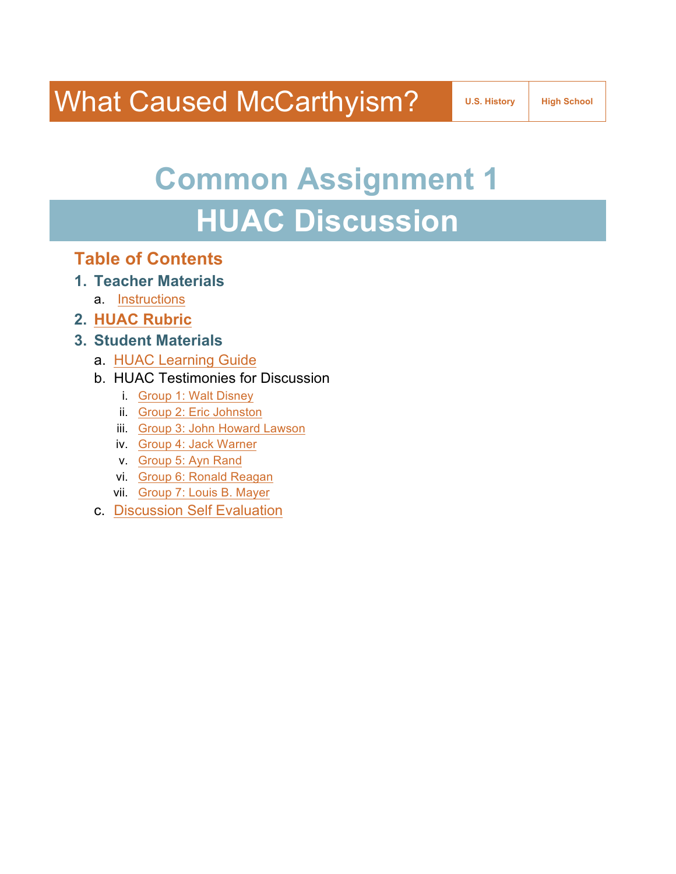What Caused McCarthyism? **U.S. History** High School

# **Common Assignment 1 HUAC Discussion**

# **Table of Contents**

- **1. Teacher Materials**
	- a. [Instructions](#page-1-0)
- **2. [HUAC Rubric](#page-3-0)**
- **3. Student Materials**
	- a. [HUAC Learning Guide](#page-4-0)
	- b. HUAC Testimonies for Discussion
		- i. [Group 1: Walt Disney](#page-7-0)
		- ii. [Group 2: Eric Johnston](#page-11-0)
		- iii. [Group 3: John Howard Lawson](#page-14-0)
		- iv. [Group 4: Jack Warner](#page-19-0)
		- v. [Group 5: Ayn Rand](#page-21-0)
		- vi. [Group 6: Ronald Reagan](#page-24-0)
		- vii. [Group 7: Louis B. Mayer](#page-27-0)
	- c. [Discussion Self Evaluation](#page-28-0)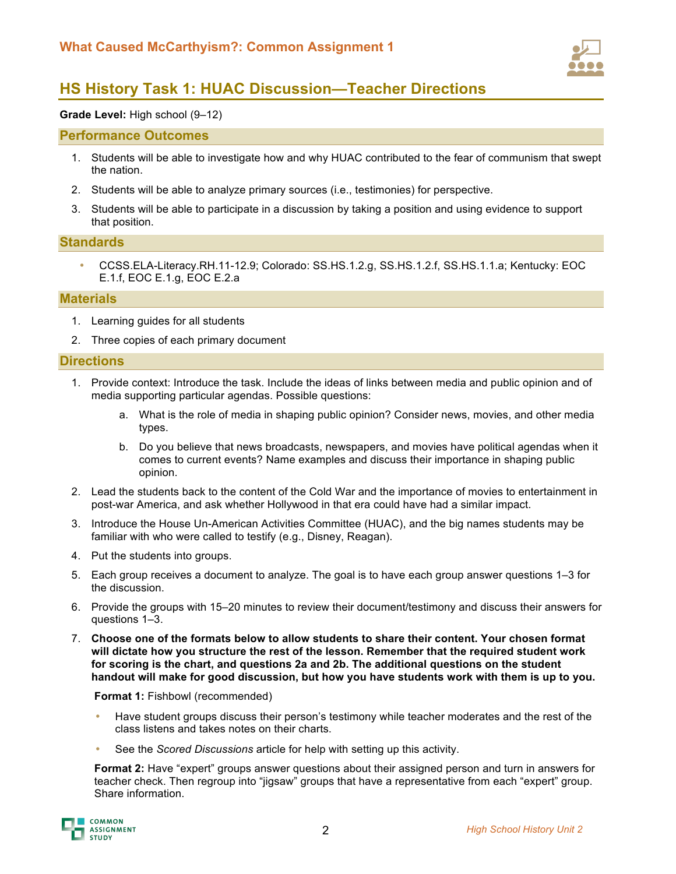

# <span id="page-1-0"></span>**HS History Task 1: HUAC Discussion—Teacher Directions**

#### **Grade Level:** High school (9–12)

#### **Performance Outcomes**

- 1. Students will be able to investigate how and why HUAC contributed to the fear of communism that swept the nation.
- 2. Students will be able to analyze primary sources (i.e., testimonies) for perspective.
- 3. Students will be able to participate in a discussion by taking a position and using evidence to support that position.

#### **Standards**

• CCSS.ELA-Literacy.RH.11-12.9; Colorado: SS.HS.1.2.g, SS.HS.1.2.f, SS.HS.1.1.a; Kentucky: EOC E.1.f, EOC E.1.g, EOC E.2.a

#### **Materials**

- 1. Learning guides for all students
- 2. Three copies of each primary document

#### **Directions**

- 1. Provide context: Introduce the task. Include the ideas of links between media and public opinion and of media supporting particular agendas. Possible questions:
	- a. What is the role of media in shaping public opinion? Consider news, movies, and other media types.
	- b. Do you believe that news broadcasts, newspapers, and movies have political agendas when it comes to current events? Name examples and discuss their importance in shaping public opinion.
- 2. Lead the students back to the content of the Cold War and the importance of movies to entertainment in post-war America, and ask whether Hollywood in that era could have had a similar impact.
- 3. Introduce the House Un-American Activities Committee (HUAC), and the big names students may be familiar with who were called to testify (e.g., Disney, Reagan).
- 4. Put the students into groups.
- 5. Each group receives a document to analyze. The goal is to have each group answer questions 1–3 for the discussion.
- 6. Provide the groups with 15–20 minutes to review their document/testimony and discuss their answers for questions 1–3.
- 7. **Choose one of the formats below to allow students to share their content. Your chosen format will dictate how you structure the rest of the lesson. Remember that the required student work for scoring is the chart, and questions 2a and 2b. The additional questions on the student handout will make for good discussion, but how you have students work with them is up to you.**

**Format 1: Fishbowl (recommended)** 

- Have student groups discuss their person's testimony while teacher moderates and the rest of the class listens and takes notes on their charts.
- See the *Scored Discussions* article for help with setting up this activity.

**Format 2:** Have "expert" groups answer questions about their assigned person and turn in answers for teacher check. Then regroup into "jigsaw" groups that have a representative from each "expert" group. Share information.

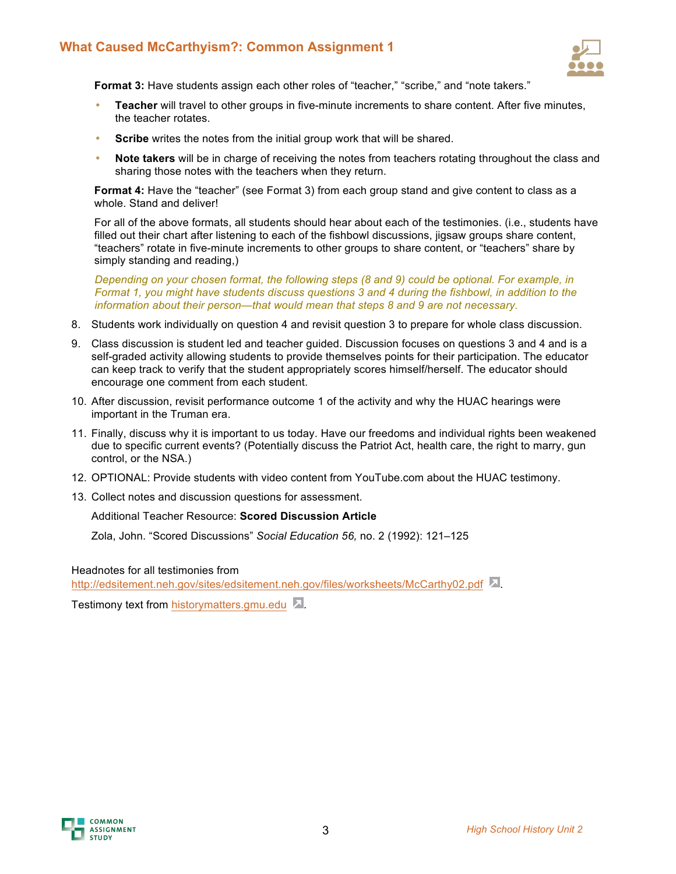# **What Caused McCarthyism?: Common Assignment 1**



**Format 3:** Have students assign each other roles of "teacher," "scribe," and "note takers."

- **Teacher** will travel to other groups in five-minute increments to share content. After five minutes, the teacher rotates.
- **Scribe** writes the notes from the initial group work that will be shared.
- **Note takers** will be in charge of receiving the notes from teachers rotating throughout the class and sharing those notes with the teachers when they return.

**Format 4:** Have the "teacher" (see Format 3) from each group stand and give content to class as a whole. Stand and deliver!

For all of the above formats, all students should hear about each of the testimonies. (i.e., students have filled out their chart after listening to each of the fishbowl discussions, jigsaw groups share content, "teachers" rotate in five-minute increments to other groups to share content, or "teachers" share by simply standing and reading,)

*Depending on your chosen format, the following steps (8 and 9) could be optional. For example, in Format 1, you might have students discuss questions 3 and 4 during the fishbowl, in addition to the information about their person—that would mean that steps 8 and 9 are not necessary.*

- 8. Students work individually on question 4 and revisit question 3 to prepare for whole class discussion.
- 9. Class discussion is student led and teacher guided. Discussion focuses on questions 3 and 4 and is a self-graded activity allowing students to provide themselves points for their participation. The educator can keep track to verify that the student appropriately scores himself/herself. The educator should encourage one comment from each student.
- 10. After discussion, revisit performance outcome 1 of the activity and why the HUAC hearings were important in the Truman era.
- 11. Finally, discuss why it is important to us today. Have our freedoms and individual rights been weakened due to specific current events? (Potentially discuss the Patriot Act, health care, the right to marry, gun control, or the NSA.)
- 12. OPTIONAL: Provide students with video content from YouTube.com about the HUAC testimony.
- 13. Collect notes and discussion questions for assessment.

Additional Teacher Resource: **Scored Discussion Article**

Zola, John. "Scored Discussions" *Social Education 56,* no. 2 (1992): 121–125

Headnotes for all testimonies from

http://edsitement.neh.gov/sites/edsitement.neh.gov/files/worksheets/McCarthy02.pdf  $\blacksquare$ 

Testimony text from [historymatters.gmu.edu](http://historymatters.gmu.edu/) 2.

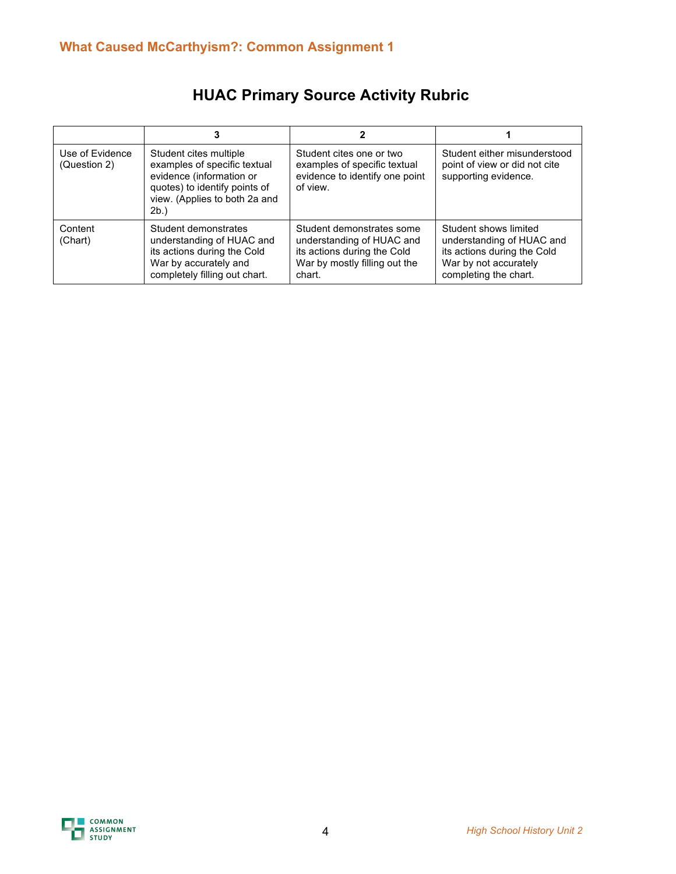# **HUAC Primary Source Activity Rubric**

<span id="page-3-0"></span>

| Use of Evidence<br>(Question 2) | Student cites multiple<br>examples of specific textual<br>evidence (information or<br>quotes) to identify points of<br>view. (Applies to both 2a and<br>2b. | Student cites one or two<br>examples of specific textual<br>evidence to identify one point<br>of view.                           | Student either misunderstood<br>point of view or did not cite<br>supporting evidence.                                               |
|---------------------------------|-------------------------------------------------------------------------------------------------------------------------------------------------------------|----------------------------------------------------------------------------------------------------------------------------------|-------------------------------------------------------------------------------------------------------------------------------------|
| Content<br>(Chart)              | Student demonstrates<br>understanding of HUAC and<br>its actions during the Cold<br>War by accurately and<br>completely filling out chart.                  | Student demonstrates some<br>understanding of HUAC and<br>its actions during the Cold<br>War by mostly filling out the<br>chart. | Student shows limited<br>understanding of HUAC and<br>its actions during the Cold<br>War by not accurately<br>completing the chart. |

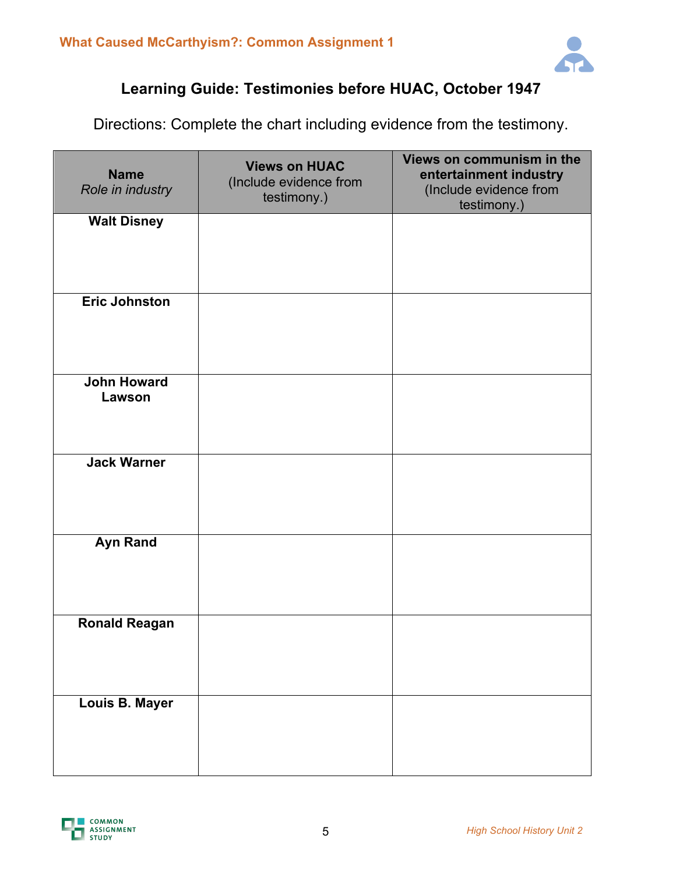

# <span id="page-4-0"></span>**Learning Guide: Testimonies before HUAC, October 1947**

Directions: Complete the chart including evidence from the testimony.

| <b>Name</b><br>Role in industry | <b>Views on HUAC</b><br>(Include evidence from<br>testimony.) | Views on communism in the<br>entertainment industry<br>(Include evidence from<br>testimony.) |
|---------------------------------|---------------------------------------------------------------|----------------------------------------------------------------------------------------------|
| <b>Walt Disney</b>              |                                                               |                                                                                              |
| <b>Eric Johnston</b>            |                                                               |                                                                                              |
| <b>John Howard</b><br>Lawson    |                                                               |                                                                                              |
| <b>Jack Warner</b>              |                                                               |                                                                                              |
| <b>Ayn Rand</b>                 |                                                               |                                                                                              |
| Ronald Reagan                   |                                                               |                                                                                              |
| Louis B. Mayer                  |                                                               |                                                                                              |

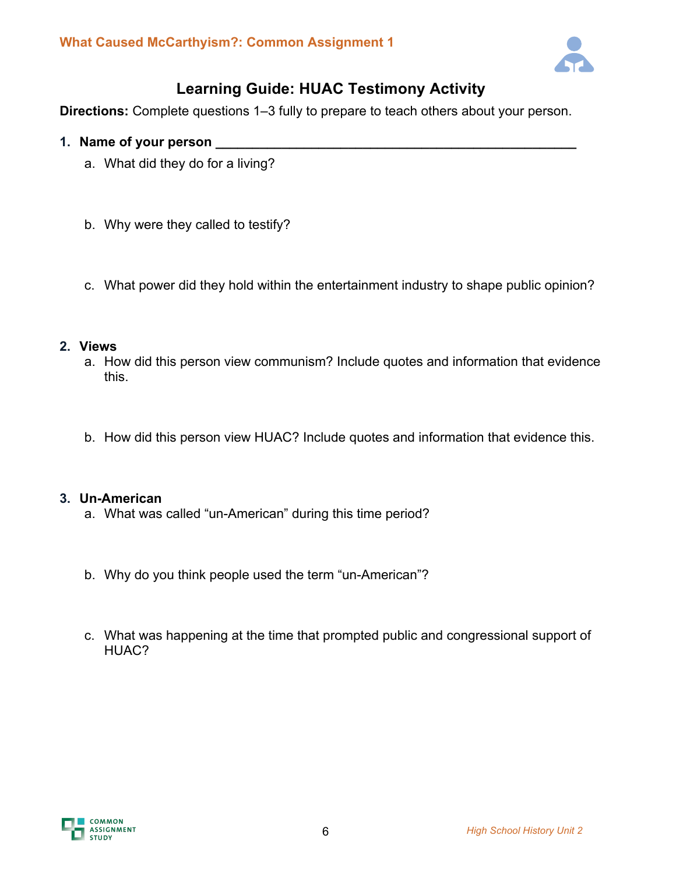

# **Learning Guide: HUAC Testimony Activity**

**Directions:** Complete questions 1–3 fully to prepare to teach others about your person.

## **1. Name of your person \_\_\_\_\_\_\_\_\_\_\_\_\_\_\_\_\_\_\_\_\_\_\_\_\_\_\_\_\_\_\_\_\_\_\_\_\_\_\_\_\_\_\_\_\_\_\_\_\_**

- a. What did they do for a living?
- b. Why were they called to testify?
- c. What power did they hold within the entertainment industry to shape public opinion?

#### **2. Views**

- a. How did this person view communism? Include quotes and information that evidence this.
- b. How did this person view HUAC? Include quotes and information that evidence this.

## **3. Un-American**

- a. What was called "un-American" during this time period?
- b. Why do you think people used the term "un-American"?
- c. What was happening at the time that prompted public and congressional support of HUAC?

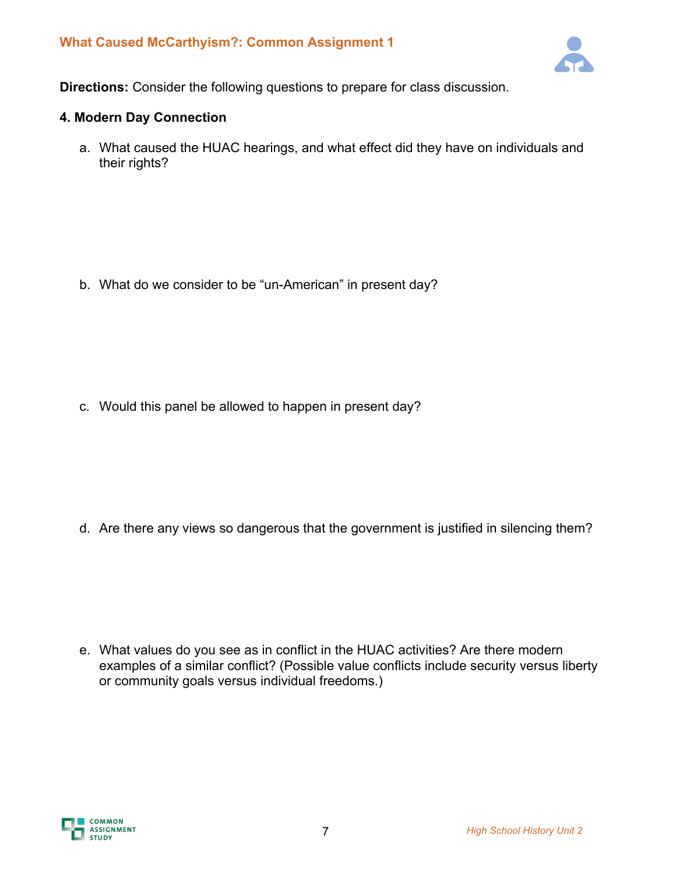

**Directions:** Consider the following questions to prepare for class discussion.

## **4. Modern Day Connection**

a. What caused the HUAC hearings, and what effect did they have on individuals and their rights?

b. What do we consider to be "un-American" in present day?

c. Would this panel be allowed to happen in present day?

d. Are there any views so dangerous that the government is justified in silencing them?

e. What values do you see as in conflict in the HUAC activities? Are there modern examples of a similar conflict? (Possible value conflicts include security versus liberty or community goals versus individual freedoms.)

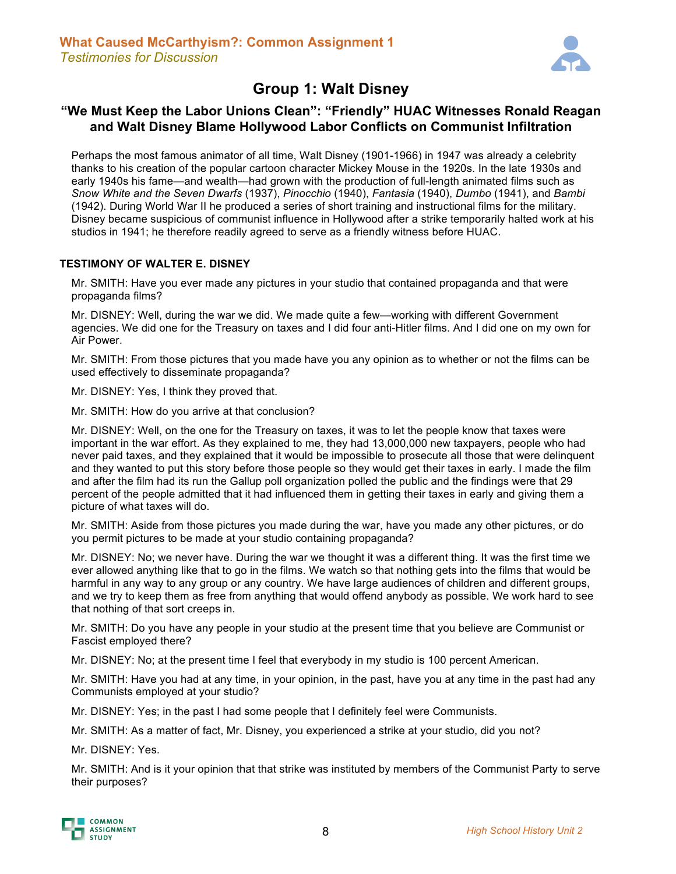

# **Group 1: Walt Disney**

# <span id="page-7-0"></span>**"We Must Keep the Labor Unions Clean": "Friendly" HUAC Witnesses Ronald Reagan and Walt Disney Blame Hollywood Labor Conflicts on Communist Infiltration**

Perhaps the most famous animator of all time, Walt Disney (1901-1966) in 1947 was already a celebrity thanks to his creation of the popular cartoon character Mickey Mouse in the 1920s. In the late 1930s and early 1940s his fame—and wealth—had grown with the production of full-length animated films such as *Snow White and the Seven Dwarfs* (1937), *Pinocchio* (1940), *Fantasia* (1940), *Dumbo* (1941), and *Bambi* (1942). During World War II he produced a series of short training and instructional films for the military. Disney became suspicious of communist influence in Hollywood after a strike temporarily halted work at his studios in 1941; he therefore readily agreed to serve as a friendly witness before HUAC.

#### **TESTIMONY OF WALTER E. DISNEY**

Mr. SMITH: Have you ever made any pictures in your studio that contained propaganda and that were propaganda films?

Mr. DISNEY: Well, during the war we did. We made quite a few—working with different Government agencies. We did one for the Treasury on taxes and I did four anti-Hitler films. And I did one on my own for Air Power.

Mr. SMITH: From those pictures that you made have you any opinion as to whether or not the films can be used effectively to disseminate propaganda?

Mr. DISNEY: Yes, I think they proved that.

Mr. SMITH: How do you arrive at that conclusion?

Mr. DISNEY: Well, on the one for the Treasury on taxes, it was to let the people know that taxes were important in the war effort. As they explained to me, they had 13,000,000 new taxpayers, people who had never paid taxes, and they explained that it would be impossible to prosecute all those that were delinquent and they wanted to put this story before those people so they would get their taxes in early. I made the film and after the film had its run the Gallup poll organization polled the public and the findings were that 29 percent of the people admitted that it had influenced them in getting their taxes in early and giving them a picture of what taxes will do.

Mr. SMITH: Aside from those pictures you made during the war, have you made any other pictures, or do you permit pictures to be made at your studio containing propaganda?

Mr. DISNEY: No; we never have. During the war we thought it was a different thing. It was the first time we ever allowed anything like that to go in the films. We watch so that nothing gets into the films that would be harmful in any way to any group or any country. We have large audiences of children and different groups, and we try to keep them as free from anything that would offend anybody as possible. We work hard to see that nothing of that sort creeps in.

Mr. SMITH: Do you have any people in your studio at the present time that you believe are Communist or Fascist employed there?

Mr. DISNEY: No; at the present time I feel that everybody in my studio is 100 percent American.

Mr. SMITH: Have you had at any time, in your opinion, in the past, have you at any time in the past had any Communists employed at your studio?

Mr. DISNEY: Yes; in the past I had some people that I definitely feel were Communists.

Mr. SMITH: As a matter of fact, Mr. Disney, you experienced a strike at your studio, did you not?

Mr. DISNEY: Yes.

Mr. SMITH: And is it your opinion that that strike was instituted by members of the Communist Party to serve their purposes?

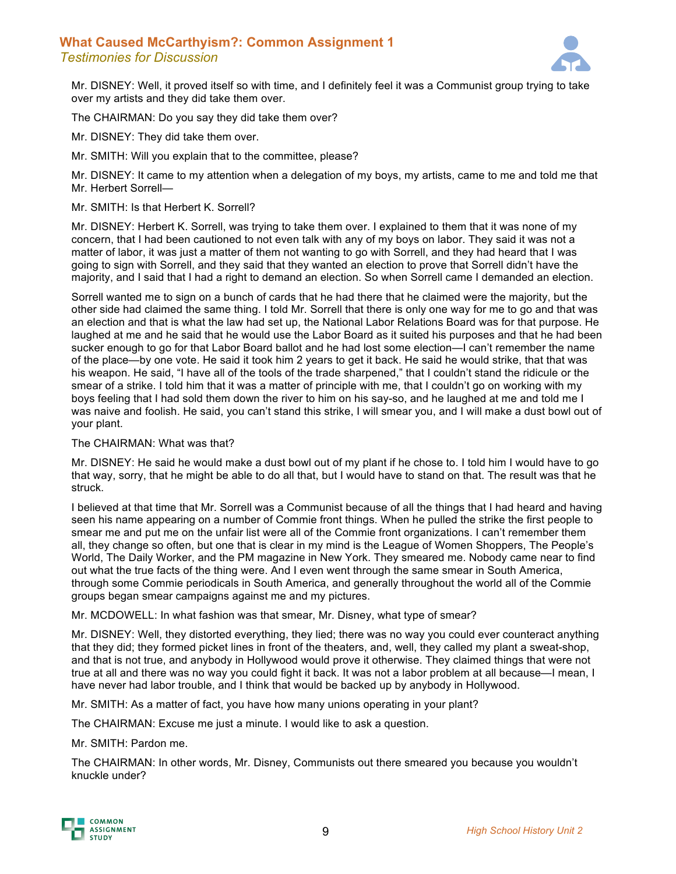

Mr. DISNEY: Well, it proved itself so with time, and I definitely feel it was a Communist group trying to take over my artists and they did take them over.

The CHAIRMAN: Do you say they did take them over?

Mr. DISNEY: They did take them over.

Mr. SMITH: Will you explain that to the committee, please?

Mr. DISNEY: It came to my attention when a delegation of my boys, my artists, came to me and told me that Mr. Herbert Sorrell—

Mr. SMITH: Is that Herbert K. Sorrell?

Mr. DISNEY: Herbert K. Sorrell, was trying to take them over. I explained to them that it was none of my concern, that I had been cautioned to not even talk with any of my boys on labor. They said it was not a matter of labor, it was just a matter of them not wanting to go with Sorrell, and they had heard that I was going to sign with Sorrell, and they said that they wanted an election to prove that Sorrell didn't have the majority, and I said that I had a right to demand an election. So when Sorrell came I demanded an election.

Sorrell wanted me to sign on a bunch of cards that he had there that he claimed were the majority, but the other side had claimed the same thing. I told Mr. Sorrell that there is only one way for me to go and that was an election and that is what the law had set up, the National Labor Relations Board was for that purpose. He laughed at me and he said that he would use the Labor Board as it suited his purposes and that he had been sucker enough to go for that Labor Board ballot and he had lost some election—I can't remember the name of the place—by one vote. He said it took him 2 years to get it back. He said he would strike, that that was his weapon. He said, "I have all of the tools of the trade sharpened," that I couldn't stand the ridicule or the smear of a strike. I told him that it was a matter of principle with me, that I couldn't go on working with my boys feeling that I had sold them down the river to him on his say-so, and he laughed at me and told me I was naive and foolish. He said, you can't stand this strike, I will smear you, and I will make a dust bowl out of your plant.

#### The CHAIRMAN: What was that?

Mr. DISNEY: He said he would make a dust bowl out of my plant if he chose to. I told him I would have to go that way, sorry, that he might be able to do all that, but I would have to stand on that. The result was that he struck.

I believed at that time that Mr. Sorrell was a Communist because of all the things that I had heard and having seen his name appearing on a number of Commie front things. When he pulled the strike the first people to smear me and put me on the unfair list were all of the Commie front organizations. I can't remember them all, they change so often, but one that is clear in my mind is the League of Women Shoppers, The People's World, The Daily Worker, and the PM magazine in New York. They smeared me. Nobody came near to find out what the true facts of the thing were. And I even went through the same smear in South America, through some Commie periodicals in South America, and generally throughout the world all of the Commie groups began smear campaigns against me and my pictures.

Mr. MCDOWELL: In what fashion was that smear, Mr. Disney, what type of smear?

Mr. DISNEY: Well, they distorted everything, they lied; there was no way you could ever counteract anything that they did; they formed picket lines in front of the theaters, and, well, they called my plant a sweat-shop, and that is not true, and anybody in Hollywood would prove it otherwise. They claimed things that were not true at all and there was no way you could fight it back. It was not a labor problem at all because—I mean, I have never had labor trouble, and I think that would be backed up by anybody in Hollywood.

Mr. SMITH: As a matter of fact, you have how many unions operating in your plant?

The CHAIRMAN: Excuse me just a minute. I would like to ask a question.

Mr. SMITH: Pardon me.

The CHAIRMAN: In other words, Mr. Disney, Communists out there smeared you because you wouldn't knuckle under?

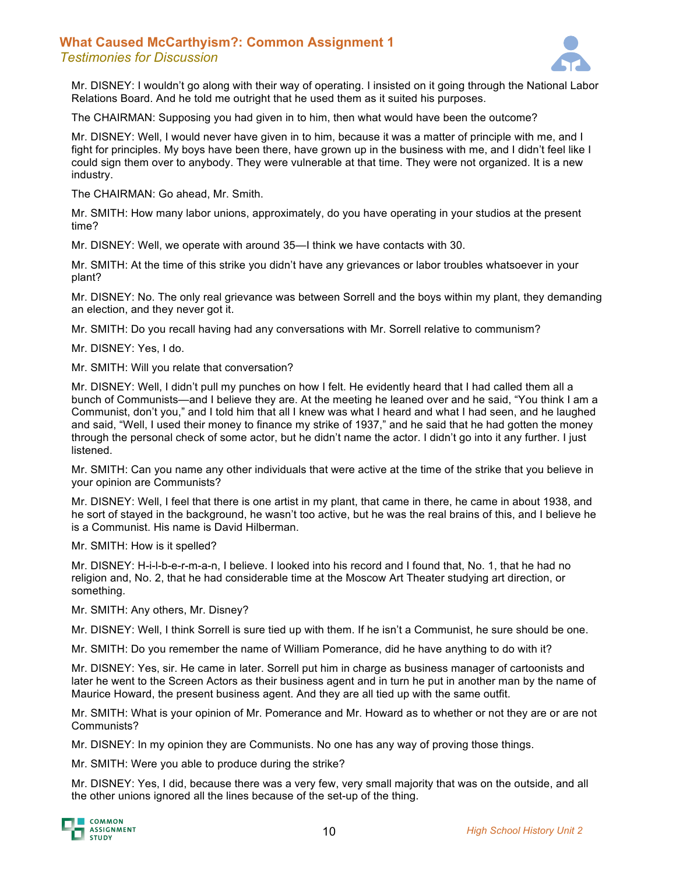

Mr. DISNEY: I wouldn't go along with their way of operating. I insisted on it going through the National Labor Relations Board. And he told me outright that he used them as it suited his purposes.

The CHAIRMAN: Supposing you had given in to him, then what would have been the outcome?

Mr. DISNEY: Well, I would never have given in to him, because it was a matter of principle with me, and I fight for principles. My boys have been there, have grown up in the business with me, and I didn't feel like I could sign them over to anybody. They were vulnerable at that time. They were not organized. It is a new industry.

The CHAIRMAN: Go ahead, Mr. Smith.

Mr. SMITH: How many labor unions, approximately, do you have operating in your studios at the present time?

Mr. DISNEY: Well, we operate with around 35—I think we have contacts with 30.

Mr. SMITH: At the time of this strike you didn't have any grievances or labor troubles whatsoever in your plant?

Mr. DISNEY: No. The only real grievance was between Sorrell and the boys within my plant, they demanding an election, and they never got it.

Mr. SMITH: Do you recall having had any conversations with Mr. Sorrell relative to communism?

Mr. DISNEY: Yes, I do.

Mr. SMITH: Will you relate that conversation?

Mr. DISNEY: Well, I didn't pull my punches on how I felt. He evidently heard that I had called them all a bunch of Communists—and I believe they are. At the meeting he leaned over and he said, "You think I am a Communist, don't you," and I told him that all I knew was what I heard and what I had seen, and he laughed and said, "Well, I used their money to finance my strike of 1937," and he said that he had gotten the money through the personal check of some actor, but he didn't name the actor. I didn't go into it any further. I just listened.

Mr. SMITH: Can you name any other individuals that were active at the time of the strike that you believe in your opinion are Communists?

Mr. DISNEY: Well, I feel that there is one artist in my plant, that came in there, he came in about 1938, and he sort of stayed in the background, he wasn't too active, but he was the real brains of this, and I believe he is a Communist. His name is David Hilberman.

Mr. SMITH: How is it spelled?

Mr. DISNEY: H-i-l-b-e-r-m-a-n, I believe. I looked into his record and I found that, No. 1, that he had no religion and, No. 2, that he had considerable time at the Moscow Art Theater studying art direction, or something.

Mr. SMITH: Any others, Mr. Disney?

Mr. DISNEY: Well, I think Sorrell is sure tied up with them. If he isn't a Communist, he sure should be one.

Mr. SMITH: Do you remember the name of William Pomerance, did he have anything to do with it?

Mr. DISNEY: Yes, sir. He came in later. Sorrell put him in charge as business manager of cartoonists and later he went to the Screen Actors as their business agent and in turn he put in another man by the name of Maurice Howard, the present business agent. And they are all tied up with the same outfit.

Mr. SMITH: What is your opinion of Mr. Pomerance and Mr. Howard as to whether or not they are or are not Communists?

Mr. DISNEY: In my opinion they are Communists. No one has any way of proving those things.

Mr. SMITH: Were you able to produce during the strike?

Mr. DISNEY: Yes, I did, because there was a very few, very small majority that was on the outside, and all the other unions ignored all the lines because of the set-up of the thing.

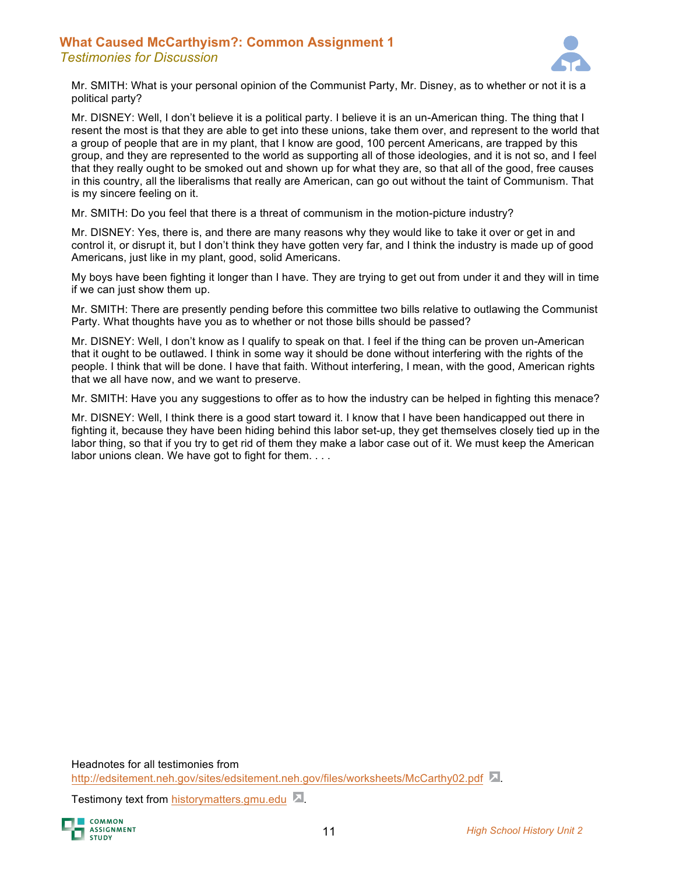

Mr. SMITH: What is your personal opinion of the Communist Party, Mr. Disney, as to whether or not it is a political party?

Mr. DISNEY: Well, I don't believe it is a political party. I believe it is an un-American thing. The thing that I resent the most is that they are able to get into these unions, take them over, and represent to the world that a group of people that are in my plant, that I know are good, 100 percent Americans, are trapped by this group, and they are represented to the world as supporting all of those ideologies, and it is not so, and I feel that they really ought to be smoked out and shown up for what they are, so that all of the good, free causes in this country, all the liberalisms that really are American, can go out without the taint of Communism. That is my sincere feeling on it.

Mr. SMITH: Do you feel that there is a threat of communism in the motion-picture industry?

Mr. DISNEY: Yes, there is, and there are many reasons why they would like to take it over or get in and control it, or disrupt it, but I don't think they have gotten very far, and I think the industry is made up of good Americans, just like in my plant, good, solid Americans.

My boys have been fighting it longer than I have. They are trying to get out from under it and they will in time if we can just show them up.

Mr. SMITH: There are presently pending before this committee two bills relative to outlawing the Communist Party. What thoughts have you as to whether or not those bills should be passed?

Mr. DISNEY: Well, I don't know as I qualify to speak on that. I feel if the thing can be proven un-American that it ought to be outlawed. I think in some way it should be done without interfering with the rights of the people. I think that will be done. I have that faith. Without interfering, I mean, with the good, American rights that we all have now, and we want to preserve.

Mr. SMITH: Have you any suggestions to offer as to how the industry can be helped in fighting this menace?

Mr. DISNEY: Well, I think there is a good start toward it. I know that I have been handicapped out there in fighting it, because they have been hiding behind this labor set-up, they get themselves closely tied up in the labor thing, so that if you try to get rid of them they make a labor case out of it. We must keep the American labor unions clean. We have got to fight for them. . . .

Headnotes for all testimonies from

http://edsitement.neh.gov/sites/edsitement.neh.gov/files/worksheets/McCarthy02.pdf

Testimony text from [historymatters.gmu.edu](http://historymatters.gmu.edu/)  $\Box$ 

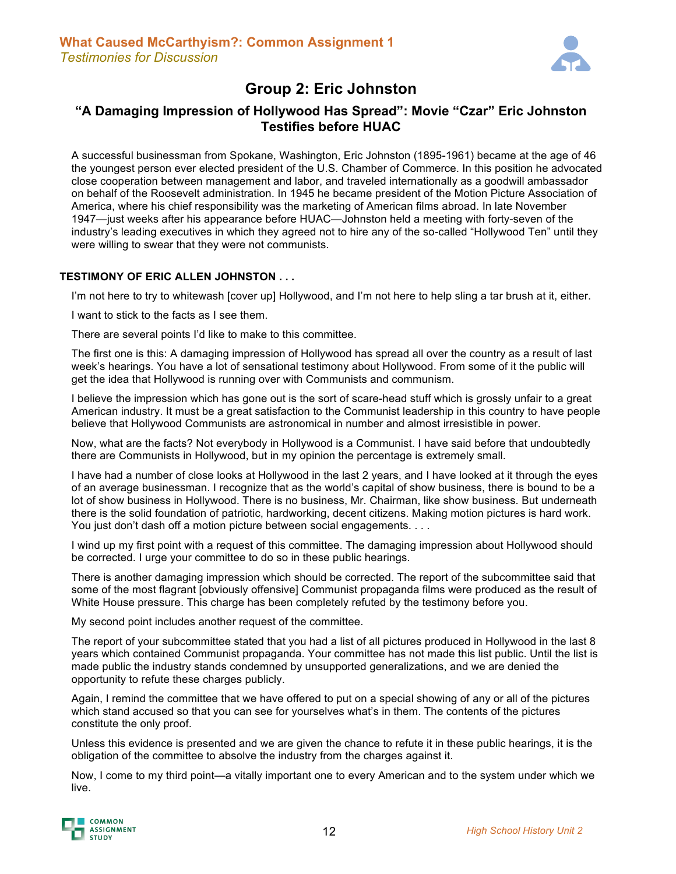

# **Group 2: Eric Johnston**

## <span id="page-11-0"></span>**"A Damaging Impression of Hollywood Has Spread": Movie "Czar" Eric Johnston Testifies before HUAC**

A successful businessman from Spokane, Washington, Eric Johnston (1895-1961) became at the age of 46 the youngest person ever elected president of the U.S. Chamber of Commerce. In this position he advocated close cooperation between management and labor, and traveled internationally as a goodwill ambassador on behalf of the Roosevelt administration. In 1945 he became president of the Motion Picture Association of America, where his chief responsibility was the marketing of American films abroad. In late November 1947—just weeks after his appearance before HUAC—Johnston held a meeting with forty-seven of the industry's leading executives in which they agreed not to hire any of the so-called "Hollywood Ten" until they were willing to swear that they were not communists.

#### **TESTIMONY OF ERIC ALLEN JOHNSTON . . .**

I'm not here to try to whitewash [cover up] Hollywood, and I'm not here to help sling a tar brush at it, either.

I want to stick to the facts as I see them.

There are several points I'd like to make to this committee.

The first one is this: A damaging impression of Hollywood has spread all over the country as a result of last week's hearings. You have a lot of sensational testimony about Hollywood. From some of it the public will get the idea that Hollywood is running over with Communists and communism.

I believe the impression which has gone out is the sort of scare-head stuff which is grossly unfair to a great American industry. It must be a great satisfaction to the Communist leadership in this country to have people believe that Hollywood Communists are astronomical in number and almost irresistible in power.

Now, what are the facts? Not everybody in Hollywood is a Communist. I have said before that undoubtedly there are Communists in Hollywood, but in my opinion the percentage is extremely small.

I have had a number of close looks at Hollywood in the last 2 years, and I have looked at it through the eyes of an average businessman. I recognize that as the world's capital of show business, there is bound to be a lot of show business in Hollywood. There is no business, Mr. Chairman, like show business. But underneath there is the solid foundation of patriotic, hardworking, decent citizens. Making motion pictures is hard work. You just don't dash off a motion picture between social engagements. . . .

I wind up my first point with a request of this committee. The damaging impression about Hollywood should be corrected. I urge your committee to do so in these public hearings.

There is another damaging impression which should be corrected. The report of the subcommittee said that some of the most flagrant [obviously offensive] Communist propaganda films were produced as the result of White House pressure. This charge has been completely refuted by the testimony before you.

My second point includes another request of the committee.

The report of your subcommittee stated that you had a list of all pictures produced in Hollywood in the last 8 years which contained Communist propaganda. Your committee has not made this list public. Until the list is made public the industry stands condemned by unsupported generalizations, and we are denied the opportunity to refute these charges publicly.

Again, I remind the committee that we have offered to put on a special showing of any or all of the pictures which stand accused so that you can see for yourselves what's in them. The contents of the pictures constitute the only proof.

Unless this evidence is presented and we are given the chance to refute it in these public hearings, it is the obligation of the committee to absolve the industry from the charges against it.

Now, I come to my third point—a vitally important one to every American and to the system under which we live.

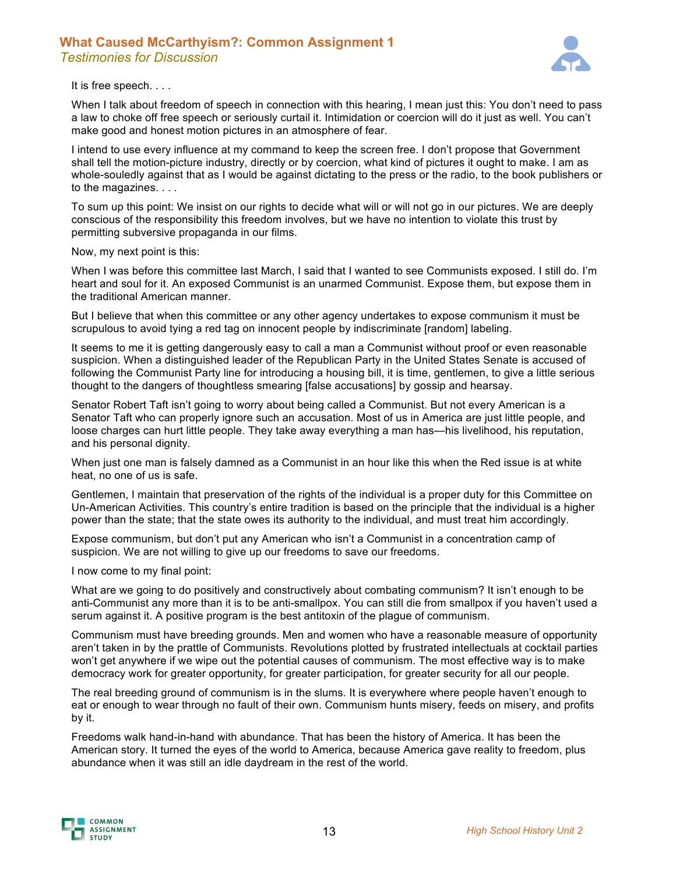

It is free speech. . . .

When I talk about freedom of speech in connection with this hearing, I mean just this: You don't need to pass a law to choke off free speech or seriously curtail it. Intimidation or coercion will do it just as well. You can't make good and honest motion pictures in an atmosphere of fear.

I intend to use every influence at my command to keep the screen free. I don't propose that Government shall tell the motion-picture industry, directly or by coercion, what kind of pictures it ought to make. I am as whole-souledly against that as I would be against dictating to the press or the radio, to the book publishers or to the magazines. . . .

To sum up this point: We insist on our rights to decide what will or will not go in our pictures. We are deeply conscious of the responsibility this freedom involves, but we have no intention to violate this trust by permitting subversive propaganda in our films.

Now, my next point is this:

When I was before this committee last March, I said that I wanted to see Communists exposed. I still do. I'm heart and soul for it. An exposed Communist is an unarmed Communist. Expose them, but expose them in the traditional American manner.

But I believe that when this committee or any other agency undertakes to expose communism it must be scrupulous to avoid tying a red tag on innocent people by indiscriminate [random] labeling.

It seems to me it is getting dangerously easy to call a man a Communist without proof or even reasonable suspicion. When a distinguished leader of the Republican Party in the United States Senate is accused of following the Communist Party line for introducing a housing bill, it is time, gentlemen, to give a little serious thought to the dangers of thoughtless smearing [false accusations] by gossip and hearsay.

Senator Robert Taft isn't going to worry about being called a Communist. But not every American is a Senator Taft who can properly ignore such an accusation. Most of us in America are just little people, and loose charges can hurt little people. They take away everything a man has—his livelihood, his reputation, and his personal dignity.

When just one man is falsely damned as a Communist in an hour like this when the Red issue is at white heat, no one of us is safe.

Gentlemen, I maintain that preservation of the rights of the individual is a proper duty for this Committee on Un-American Activities. This country's entire tradition is based on the principle that the individual is a higher power than the state; that the state owes its authority to the individual, and must treat him accordingly.

Expose communism, but don't put any American who isn't a Communist in a concentration camp of suspicion. We are not willing to give up our freedoms to save our freedoms.

I now come to my final point:

What are we going to do positively and constructively about combating communism? It isn't enough to be anti-Communist any more than it is to be anti-smallpox. You can still die from smallpox if you haven't used a serum against it. A positive program is the best antitoxin of the plague of communism.

Communism must have breeding grounds. Men and women who have a reasonable measure of opportunity aren't taken in by the prattle of Communists. Revolutions plotted by frustrated intellectuals at cocktail parties won't get anywhere if we wipe out the potential causes of communism. The most effective way is to make democracy work for greater opportunity, for greater participation, for greater security for all our people.

The real breeding ground of communism is in the slums. It is everywhere where people haven't enough to eat or enough to wear through no fault of their own. Communism hunts misery, feeds on misery, and profits by it.

Freedoms walk hand-in-hand with abundance. That has been the history of America. It has been the American story. It turned the eyes of the world to America, because America gave reality to freedom, plus abundance when it was still an idle daydream in the rest of the world.

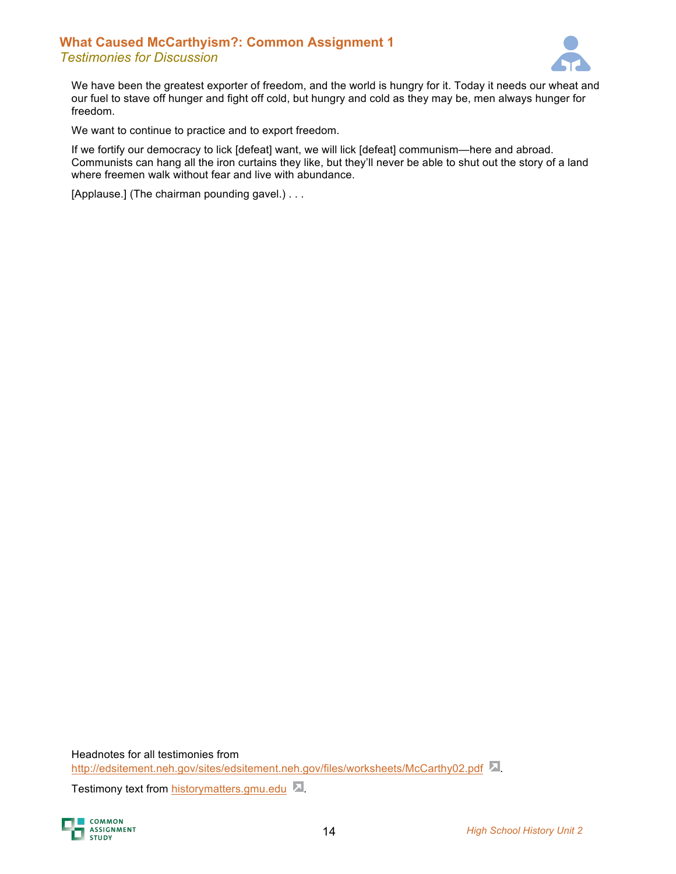

We have been the greatest exporter of freedom, and the world is hungry for it. Today it needs our wheat and our fuel to stave off hunger and fight off cold, but hungry and cold as they may be, men always hunger for freedom.

We want to continue to practice and to export freedom.

If we fortify our democracy to lick [defeat] want, we will lick [defeat] communism—here and abroad. Communists can hang all the iron curtains they like, but they'll never be able to shut out the story of a land where freemen walk without fear and live with abundance.

[Applause.] (The chairman pounding gavel.) . . .

Headnotes for all testimonies from http://edsitement.neh.gov/sites/edsitement.neh.gov/files/worksheets/McCarthy02.pdf

Testimony text from [historymatters.gmu.edu](http://historymatters.gmu.edu/) A.

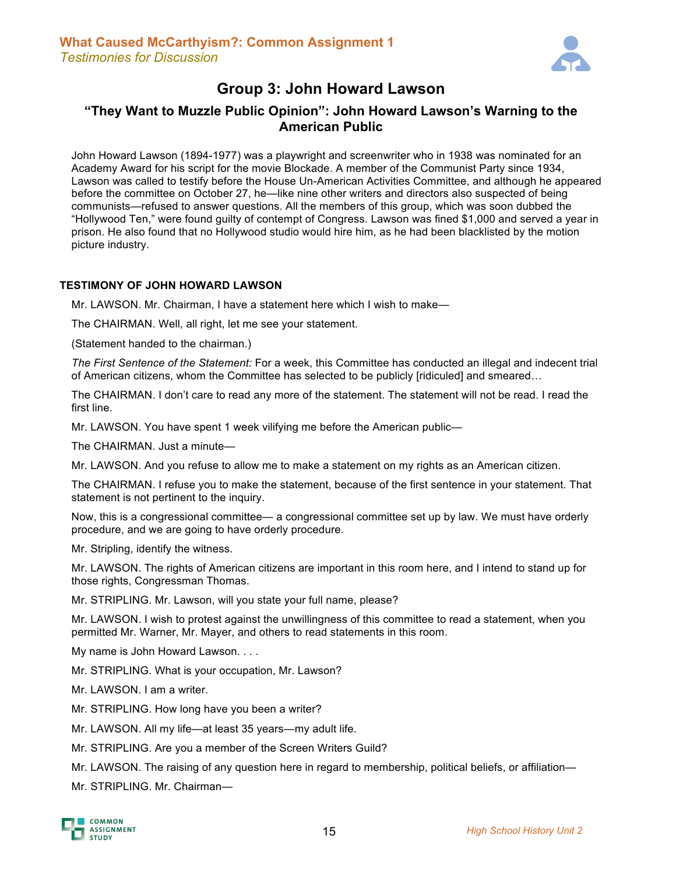

# **Group 3: John Howard Lawson**

## <span id="page-14-0"></span>**"They Want to Muzzle Public Opinion": John Howard Lawson's Warning to the American Public**

John Howard Lawson (1894-1977) was a playwright and screenwriter who in 1938 was nominated for an Academy Award for his script for the movie Blockade. A member of the Communist Party since 1934, Lawson was called to testify before the House Un-American Activities Committee, and although he appeared before the committee on October 27, he—like nine other writers and directors also suspected of being communists—refused to answer questions. All the members of this group, which was soon dubbed the "Hollywood Ten," were found guilty of contempt of Congress. Lawson was fined \$1,000 and served a year in prison. He also found that no Hollywood studio would hire him, as he had been blacklisted by the motion picture industry.

#### **TESTIMONY OF JOHN HOWARD LAWSON**

Mr. LAWSON. Mr. Chairman, I have a statement here which I wish to make—

The CHAIRMAN. Well, all right, let me see your statement.

(Statement handed to the chairman.)

*The First Sentence of the Statement:* For a week, this Committee has conducted an illegal and indecent trial of American citizens, whom the Committee has selected to be publicly [ridiculed] and smeared…

The CHAIRMAN. I don't care to read any more of the statement. The statement will not be read. I read the first line.

Mr. LAWSON. You have spent 1 week vilifying me before the American public—

The CHAIRMAN. Just a minute—

Mr. LAWSON. And you refuse to allow me to make a statement on my rights as an American citizen.

The CHAIRMAN. I refuse you to make the statement, because of the first sentence in your statement. That statement is not pertinent to the inquiry.

Now, this is a congressional committee— a congressional committee set up by law. We must have orderly procedure, and we are going to have orderly procedure.

Mr. Stripling, identify the witness.

Mr. LAWSON. The rights of American citizens are important in this room here, and I intend to stand up for those rights, Congressman Thomas.

Mr. STRIPLING. Mr. Lawson, will you state your full name, please?

Mr. LAWSON. I wish to protest against the unwillingness of this committee to read a statement, when you permitted Mr. Warner, Mr. Mayer, and others to read statements in this room.

My name is John Howard Lawson. . . .

Mr. STRIPLING. What is your occupation, Mr. Lawson?

Mr. LAWSON. I am a writer.

Mr. STRIPLING. How long have you been a writer?

Mr. LAWSON. All my life—at least 35 years—my adult life.

Mr. STRIPLING. Are you a member of the Screen Writers Guild?

Mr. LAWSON. The raising of any question here in regard to membership, political beliefs, or affiliation—

Mr. STRIPLING. Mr. Chairman—

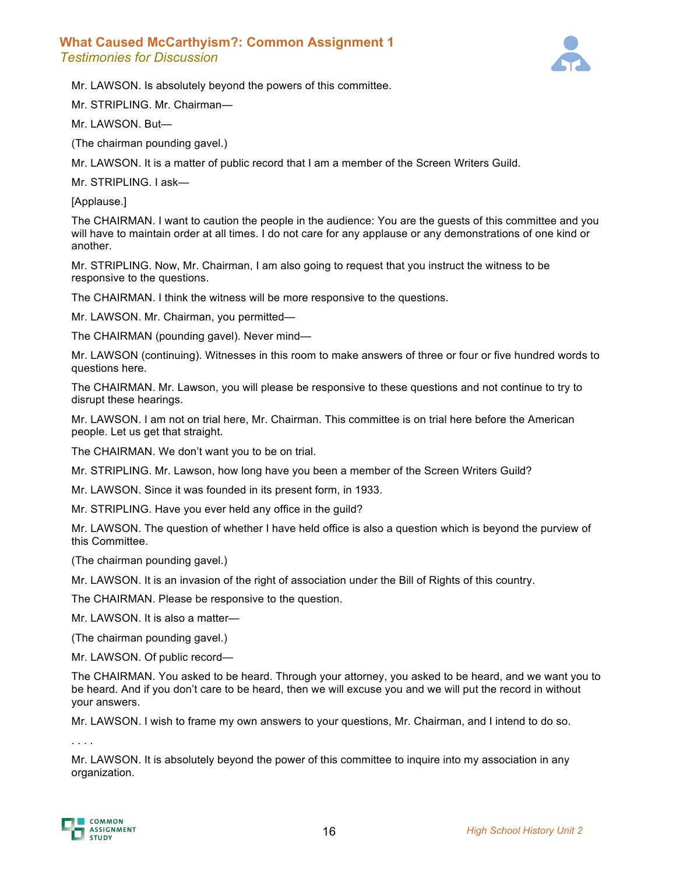

Mr. LAWSON. Is absolutely beyond the powers of this committee.

Mr. STRIPLING. Mr. Chairman—

Mr. LAWSON. But—

(The chairman pounding gavel.)

Mr. LAWSON. It is a matter of public record that I am a member of the Screen Writers Guild.

Mr. STRIPLING. I ask—

[Applause.]

The CHAIRMAN. I want to caution the people in the audience: You are the guests of this committee and you will have to maintain order at all times. I do not care for any applause or any demonstrations of one kind or another.

Mr. STRIPLING. Now, Mr. Chairman, I am also going to request that you instruct the witness to be responsive to the questions.

The CHAIRMAN. I think the witness will be more responsive to the questions.

Mr. LAWSON. Mr. Chairman, you permitted—

The CHAIRMAN (pounding gavel). Never mind—

Mr. LAWSON (continuing). Witnesses in this room to make answers of three or four or five hundred words to questions here.

The CHAIRMAN. Mr. Lawson, you will please be responsive to these questions and not continue to try to disrupt these hearings.

Mr. LAWSON. I am not on trial here, Mr. Chairman. This committee is on trial here before the American people. Let us get that straight.

The CHAIRMAN. We don't want you to be on trial.

Mr. STRIPLING. Mr. Lawson, how long have you been a member of the Screen Writers Guild?

Mr. LAWSON. Since it was founded in its present form, in 1933.

Mr. STRIPLING. Have you ever held any office in the guild?

Mr. LAWSON. The question of whether I have held office is also a question which is beyond the purview of this Committee.

(The chairman pounding gavel.)

Mr. LAWSON. It is an invasion of the right of association under the Bill of Rights of this country.

The CHAIRMAN. Please be responsive to the question.

Mr. LAWSON. It is also a matter—

(The chairman pounding gavel.)

Mr. LAWSON. Of public record—

The CHAIRMAN. You asked to be heard. Through your attorney, you asked to be heard, and we want you to be heard. And if you don't care to be heard, then we will excuse you and we will put the record in without your answers.

Mr. LAWSON. I wish to frame my own answers to your questions, Mr. Chairman, and I intend to do so.

. . . .

Mr. LAWSON. It is absolutely beyond the power of this committee to inquire into my association in any organization.

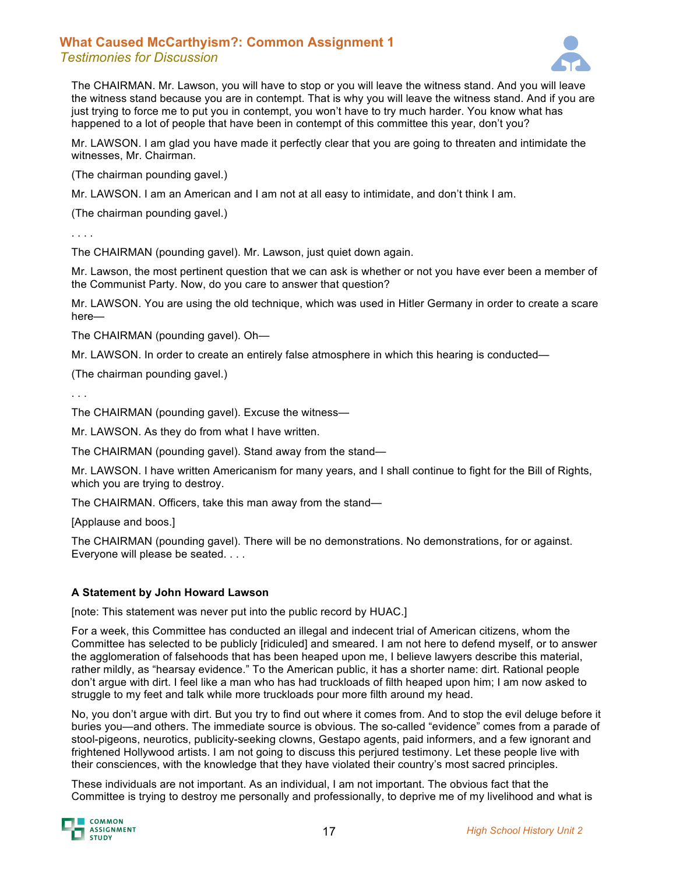

The CHAIRMAN. Mr. Lawson, you will have to stop or you will leave the witness stand. And you will leave the witness stand because you are in contempt. That is why you will leave the witness stand. And if you are just trying to force me to put you in contempt, you won't have to try much harder. You know what has happened to a lot of people that have been in contempt of this committee this year, don't you?

Mr. LAWSON. I am glad you have made it perfectly clear that you are going to threaten and intimidate the witnesses, Mr. Chairman.

(The chairman pounding gavel.)

Mr. LAWSON. I am an American and I am not at all easy to intimidate, and don't think I am.

(The chairman pounding gavel.)

. . . .

The CHAIRMAN (pounding gavel). Mr. Lawson, just quiet down again.

Mr. Lawson, the most pertinent question that we can ask is whether or not you have ever been a member of the Communist Party. Now, do you care to answer that question?

Mr. LAWSON. You are using the old technique, which was used in Hitler Germany in order to create a scare here—

The CHAIRMAN (pounding gavel). Oh—

Mr. LAWSON. In order to create an entirely false atmosphere in which this hearing is conducted—

(The chairman pounding gavel.)

. . .

The CHAIRMAN (pounding gavel). Excuse the witness—

Mr. LAWSON. As they do from what I have written.

The CHAIRMAN (pounding gavel). Stand away from the stand—

Mr. LAWSON. I have written Americanism for many years, and I shall continue to fight for the Bill of Rights, which you are trying to destroy.

The CHAIRMAN. Officers, take this man away from the stand—

[Applause and boos.]

The CHAIRMAN (pounding gavel). There will be no demonstrations. No demonstrations, for or against. Everyone will please be seated. . . .

#### **A Statement by John Howard Lawson**

[note: This statement was never put into the public record by HUAC.]

For a week, this Committee has conducted an illegal and indecent trial of American citizens, whom the Committee has selected to be publicly [ridiculed] and smeared. I am not here to defend myself, or to answer the agglomeration of falsehoods that has been heaped upon me, I believe lawyers describe this material, rather mildly, as "hearsay evidence." To the American public, it has a shorter name: dirt. Rational people don't argue with dirt. I feel like a man who has had truckloads of filth heaped upon him; I am now asked to struggle to my feet and talk while more truckloads pour more filth around my head.

No, you don't argue with dirt. But you try to find out where it comes from. And to stop the evil deluge before it buries you—and others. The immediate source is obvious. The so-called "evidence" comes from a parade of stool-pigeons, neurotics, publicity-seeking clowns, Gestapo agents, paid informers, and a few ignorant and frightened Hollywood artists. I am not going to discuss this perjured testimony. Let these people live with their consciences, with the knowledge that they have violated their country's most sacred principles.

These individuals are not important. As an individual, I am not important. The obvious fact that the Committee is trying to destroy me personally and professionally, to deprive me of my livelihood and what is

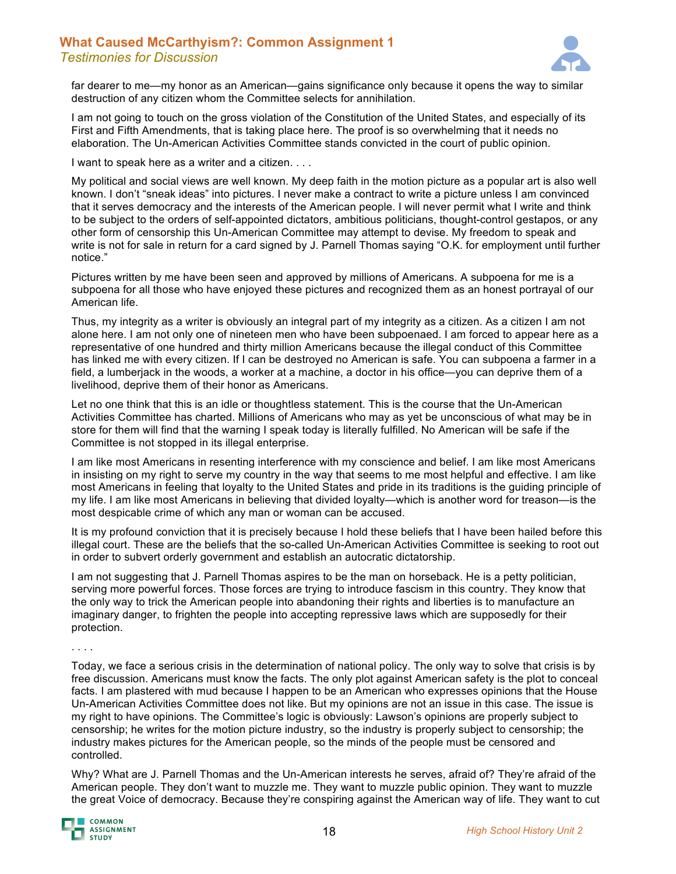

far dearer to me—my honor as an American—gains significance only because it opens the way to similar destruction of any citizen whom the Committee selects for annihilation.

I am not going to touch on the gross violation of the Constitution of the United States, and especially of its First and Fifth Amendments, that is taking place here. The proof is so overwhelming that it needs no elaboration. The Un-American Activities Committee stands convicted in the court of public opinion.

I want to speak here as a writer and a citizen. . . .

My political and social views are well known. My deep faith in the motion picture as a popular art is also well known. I don't "sneak ideas" into pictures. I never make a contract to write a picture unless I am convinced that it serves democracy and the interests of the American people. I will never permit what I write and think to be subject to the orders of self-appointed dictators, ambitious politicians, thought-control gestapos, or any other form of censorship this Un-American Committee may attempt to devise. My freedom to speak and write is not for sale in return for a card signed by J. Parnell Thomas saying "O.K. for employment until further notice."

Pictures written by me have been seen and approved by millions of Americans. A subpoena for me is a subpoena for all those who have enjoyed these pictures and recognized them as an honest portrayal of our American life.

Thus, my integrity as a writer is obviously an integral part of my integrity as a citizen. As a citizen I am not alone here. I am not only one of nineteen men who have been subpoenaed. I am forced to appear here as a representative of one hundred and thirty million Americans because the illegal conduct of this Committee has linked me with every citizen. If I can be destroyed no American is safe. You can subpoena a farmer in a field, a lumberjack in the woods, a worker at a machine, a doctor in his office—you can deprive them of a livelihood, deprive them of their honor as Americans.

Let no one think that this is an idle or thoughtless statement. This is the course that the Un-American Activities Committee has charted. Millions of Americans who may as yet be unconscious of what may be in store for them will find that the warning I speak today is literally fulfilled. No American will be safe if the Committee is not stopped in its illegal enterprise.

I am like most Americans in resenting interference with my conscience and belief. I am like most Americans in insisting on my right to serve my country in the way that seems to me most helpful and effective. I am like most Americans in feeling that loyalty to the United States and pride in its traditions is the guiding principle of my life. I am like most Americans in believing that divided loyalty—which is another word for treason—is the most despicable crime of which any man or woman can be accused.

It is my profound conviction that it is precisely because I hold these beliefs that I have been hailed before this illegal court. These are the beliefs that the so-called Un-American Activities Committee is seeking to root out in order to subvert orderly government and establish an autocratic dictatorship.

I am not suggesting that J. Parnell Thomas aspires to be the man on horseback. He is a petty politician, serving more powerful forces. Those forces are trying to introduce fascism in this country. They know that the only way to trick the American people into abandoning their rights and liberties is to manufacture an imaginary danger, to frighten the people into accepting repressive laws which are supposedly for their protection.

. . . .

Today, we face a serious crisis in the determination of national policy. The only way to solve that crisis is by free discussion. Americans must know the facts. The only plot against American safety is the plot to conceal facts. I am plastered with mud because I happen to be an American who expresses opinions that the House Un-American Activities Committee does not like. But my opinions are not an issue in this case. The issue is my right to have opinions. The Committee's logic is obviously: Lawson's opinions are properly subject to censorship; he writes for the motion picture industry, so the industry is properly subject to censorship; the industry makes pictures for the American people, so the minds of the people must be censored and controlled.

Why? What are J. Parnell Thomas and the Un-American interests he serves, afraid of? They're afraid of the American people. They don't want to muzzle me. They want to muzzle public opinion. They want to muzzle the great Voice of democracy. Because they're conspiring against the American way of life. They want to cut

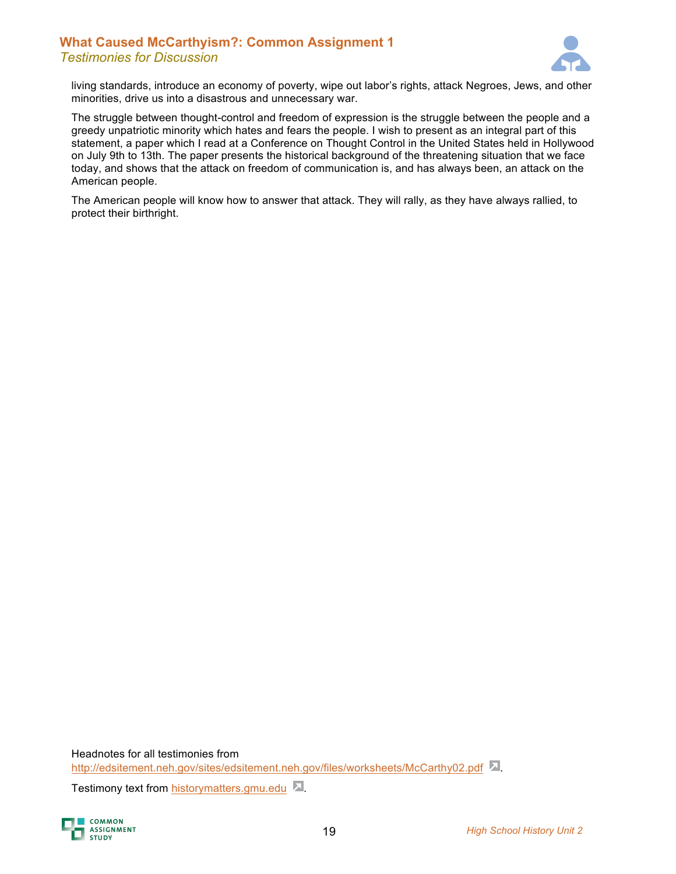

living standards, introduce an economy of poverty, wipe out labor's rights, attack Negroes, Jews, and other minorities, drive us into a disastrous and unnecessary war.

The struggle between thought-control and freedom of expression is the struggle between the people and a greedy unpatriotic minority which hates and fears the people. I wish to present as an integral part of this statement, a paper which I read at a Conference on Thought Control in the United States held in Hollywood on July 9th to 13th. The paper presents the historical background of the threatening situation that we face today, and shows that the attack on freedom of communication is, and has always been, an attack on the American people.

The American people will know how to answer that attack. They will rally, as they have always rallied, to protect their birthright.

Headnotes for all testimonies from http://edsitement.neh.gov/sites/edsitement.neh.gov/files/worksheets/McCarthy02.pdf .

Testimony text from [historymatters.gmu.edu](http://historymatters.gmu.edu/) A

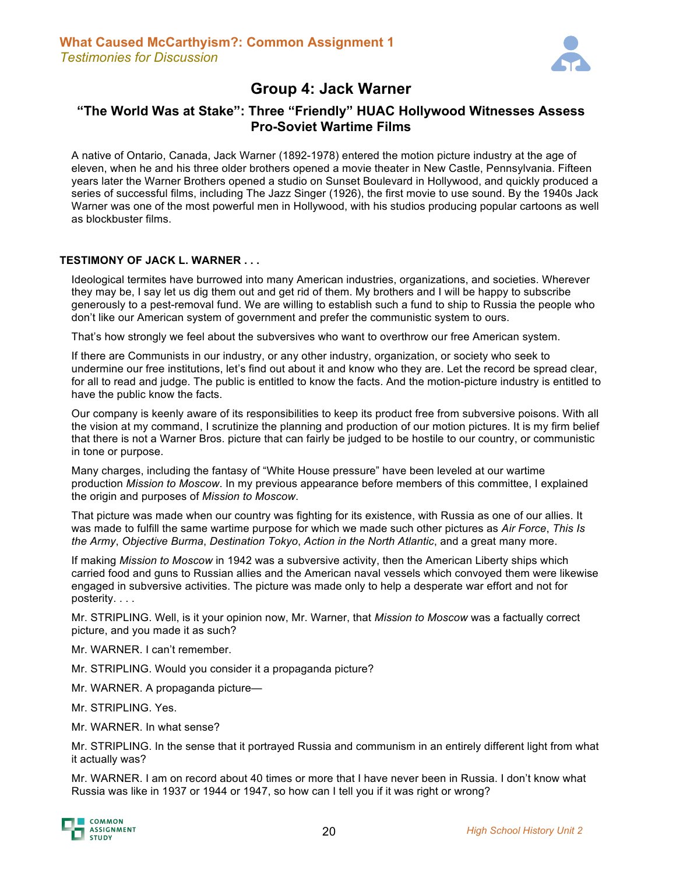

# **Group 4: Jack Warner**

## <span id="page-19-0"></span>**"The World Was at Stake": Three "Friendly" HUAC Hollywood Witnesses Assess Pro-Soviet Wartime Films**

A native of Ontario, Canada, Jack Warner (1892-1978) entered the motion picture industry at the age of eleven, when he and his three older brothers opened a movie theater in New Castle, Pennsylvania. Fifteen years later the Warner Brothers opened a studio on Sunset Boulevard in Hollywood, and quickly produced a series of successful films, including The Jazz Singer (1926), the first movie to use sound. By the 1940s Jack Warner was one of the most powerful men in Hollywood, with his studios producing popular cartoons as well as blockbuster films.

#### **TESTIMONY OF JACK L. WARNER . . .**

Ideological termites have burrowed into many American industries, organizations, and societies. Wherever they may be, I say let us dig them out and get rid of them. My brothers and I will be happy to subscribe generously to a pest-removal fund. We are willing to establish such a fund to ship to Russia the people who don't like our American system of government and prefer the communistic system to ours.

That's how strongly we feel about the subversives who want to overthrow our free American system.

If there are Communists in our industry, or any other industry, organization, or society who seek to undermine our free institutions, let's find out about it and know who they are. Let the record be spread clear, for all to read and judge. The public is entitled to know the facts. And the motion-picture industry is entitled to have the public know the facts.

Our company is keenly aware of its responsibilities to keep its product free from subversive poisons. With all the vision at my command, I scrutinize the planning and production of our motion pictures. It is my firm belief that there is not a Warner Bros. picture that can fairly be judged to be hostile to our country, or communistic in tone or purpose.

Many charges, including the fantasy of "White House pressure" have been leveled at our wartime production *Mission to Moscow*. In my previous appearance before members of this committee, I explained the origin and purposes of *Mission to Moscow*.

That picture was made when our country was fighting for its existence, with Russia as one of our allies. It was made to fulfill the same wartime purpose for which we made such other pictures as *Air Force*, *This Is the Army*, *Objective Burma*, *Destination Tokyo*, *Action in the North Atlantic*, and a great many more.

If making *Mission to Moscow* in 1942 was a subversive activity, then the American Liberty ships which carried food and guns to Russian allies and the American naval vessels which convoyed them were likewise engaged in subversive activities. The picture was made only to help a desperate war effort and not for posterity. . . .

Mr. STRIPLING. Well, is it your opinion now, Mr. Warner, that *Mission to Moscow* was a factually correct picture, and you made it as such?

- Mr. WARNER. I can't remember.
- Mr. STRIPLING. Would you consider it a propaganda picture?
- Mr. WARNER. A propaganda picture—
- Mr. STRIPLING. Yes.
- Mr. WARNER. In what sense?

Mr. STRIPLING. In the sense that it portrayed Russia and communism in an entirely different light from what it actually was?

Mr. WARNER. I am on record about 40 times or more that I have never been in Russia. I don't know what Russia was like in 1937 or 1944 or 1947, so how can I tell you if it was right or wrong?

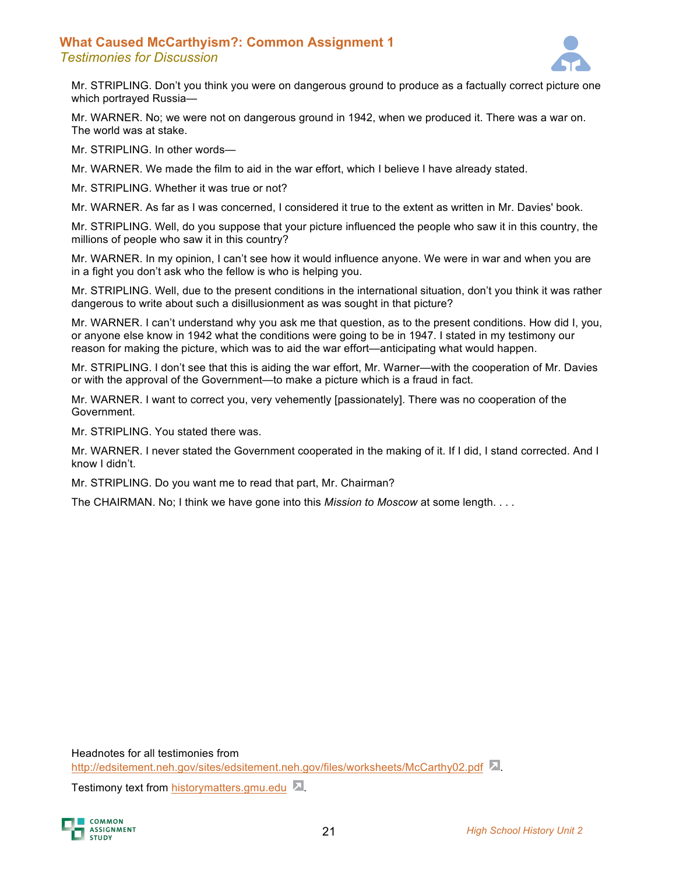

Mr. STRIPLING. Don't you think you were on dangerous ground to produce as a factually correct picture one which portrayed Russia—

Mr. WARNER. No; we were not on dangerous ground in 1942, when we produced it. There was a war on. The world was at stake.

Mr. STRIPLING. In other words—

Mr. WARNER. We made the film to aid in the war effort, which I believe I have already stated.

Mr. STRIPLING. Whether it was true or not?

Mr. WARNER. As far as I was concerned, I considered it true to the extent as written in Mr. Davies' book.

Mr. STRIPLING. Well, do you suppose that your picture influenced the people who saw it in this country, the millions of people who saw it in this country?

Mr. WARNER. In my opinion, I can't see how it would influence anyone. We were in war and when you are in a fight you don't ask who the fellow is who is helping you.

Mr. STRIPLING. Well, due to the present conditions in the international situation, don't you think it was rather dangerous to write about such a disillusionment as was sought in that picture?

Mr. WARNER. I can't understand why you ask me that question, as to the present conditions. How did I, you, or anyone else know in 1942 what the conditions were going to be in 1947. I stated in my testimony our reason for making the picture, which was to aid the war effort—anticipating what would happen.

Mr. STRIPLING. I don't see that this is aiding the war effort, Mr. Warner—with the cooperation of Mr. Davies or with the approval of the Government—to make a picture which is a fraud in fact.

Mr. WARNER. I want to correct you, very vehemently [passionately]. There was no cooperation of the Government.

Mr. STRIPLING. You stated there was.

Mr. WARNER. I never stated the Government cooperated in the making of it. If I did, I stand corrected. And I know I didn't.

Mr. STRIPLING. Do you want me to read that part, Mr. Chairman?

The CHAIRMAN. No; I think we have gone into this *Mission to Moscow* at some length. . . .

Headnotes for all testimonies from http://edsitement.neh.gov/sites/edsitement.neh.gov/files/worksheets/McCarthy02.pdf 2.

Testimony text from [historymatters.gmu.edu](http://historymatters.gmu.edu/)

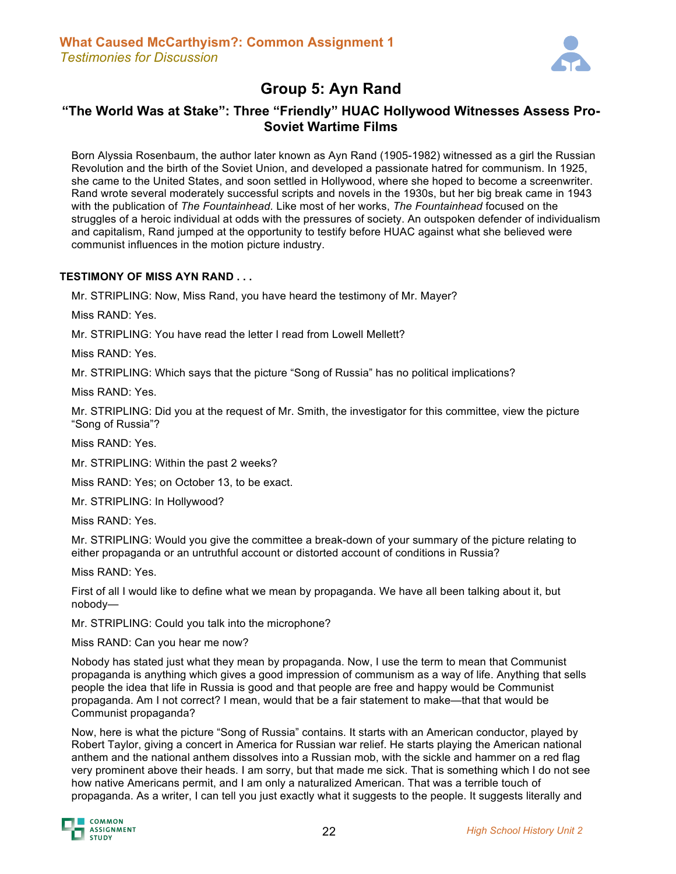

# **Group 5: Ayn Rand**

# <span id="page-21-0"></span>**"The World Was at Stake": Three "Friendly" HUAC Hollywood Witnesses Assess Pro-Soviet Wartime Films**

Born Alyssia Rosenbaum, the author later known as Ayn Rand (1905-1982) witnessed as a girl the Russian Revolution and the birth of the Soviet Union, and developed a passionate hatred for communism. In 1925, she came to the United States, and soon settled in Hollywood, where she hoped to become a screenwriter. Rand wrote several moderately successful scripts and novels in the 1930s, but her big break came in 1943 with the publication of *The Fountainhead.* Like most of her works, *The Fountainhead* focused on the struggles of a heroic individual at odds with the pressures of society. An outspoken defender of individualism and capitalism, Rand jumped at the opportunity to testify before HUAC against what she believed were communist influences in the motion picture industry.

#### **TESTIMONY OF MISS AYN RAND . . .**

Mr. STRIPLING: Now, Miss Rand, you have heard the testimony of Mr. Mayer?

Miss RAND: Yes.

Mr. STRIPLING: You have read the letter I read from Lowell Mellett?

Miss RAND: Yes.

Mr. STRIPLING: Which says that the picture "Song of Russia" has no political implications?

Miss RAND: Yes.

Mr. STRIPLING: Did you at the request of Mr. Smith, the investigator for this committee, view the picture "Song of Russia"?

Miss RAND: Yes.

Mr. STRIPLING: Within the past 2 weeks?

Miss RAND: Yes; on October 13, to be exact.

Mr. STRIPLING: In Hollywood?

Miss RAND: Yes.

Mr. STRIPLING: Would you give the committee a break-down of your summary of the picture relating to either propaganda or an untruthful account or distorted account of conditions in Russia?

Miss RAND: Yes.

First of all I would like to define what we mean by propaganda. We have all been talking about it, but nobody—

Mr. STRIPLING: Could you talk into the microphone?

Miss RAND: Can you hear me now?

Nobody has stated just what they mean by propaganda. Now, I use the term to mean that Communist propaganda is anything which gives a good impression of communism as a way of life. Anything that sells people the idea that life in Russia is good and that people are free and happy would be Communist propaganda. Am I not correct? I mean, would that be a fair statement to make—that that would be Communist propaganda?

Now, here is what the picture "Song of Russia" contains. It starts with an American conductor, played by Robert Taylor, giving a concert in America for Russian war relief. He starts playing the American national anthem and the national anthem dissolves into a Russian mob, with the sickle and hammer on a red flag very prominent above their heads. I am sorry, but that made me sick. That is something which I do not see how native Americans permit, and I am only a naturalized American. That was a terrible touch of propaganda. As a writer, I can tell you just exactly what it suggests to the people. It suggests literally and

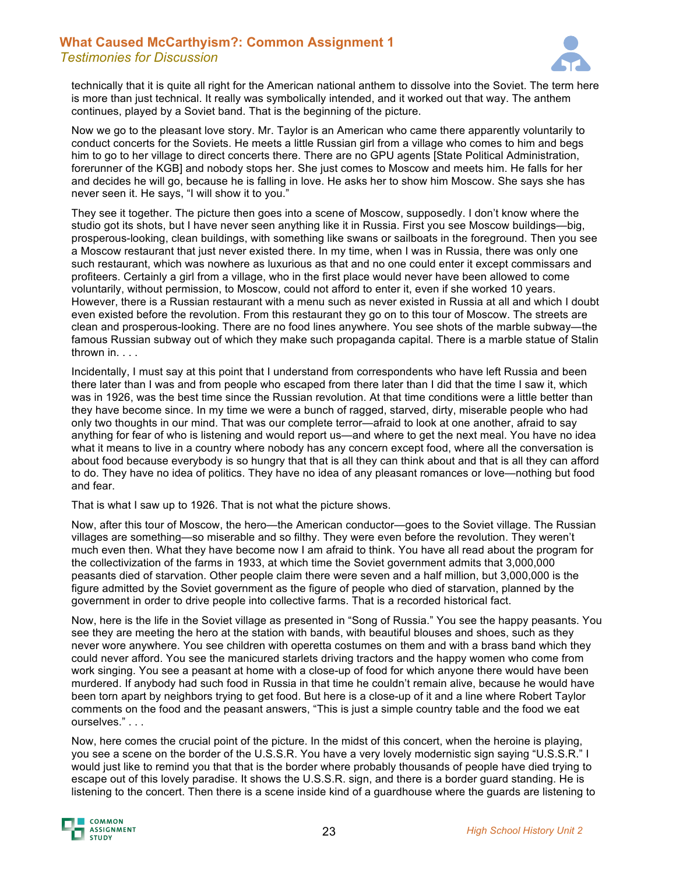

technically that it is quite all right for the American national anthem to dissolve into the Soviet. The term here is more than just technical. It really was symbolically intended, and it worked out that way. The anthem continues, played by a Soviet band. That is the beginning of the picture.

Now we go to the pleasant love story. Mr. Taylor is an American who came there apparently voluntarily to conduct concerts for the Soviets. He meets a little Russian girl from a village who comes to him and begs him to go to her village to direct concerts there. There are no GPU agents [State Political Administration, forerunner of the KGB] and nobody stops her. She just comes to Moscow and meets him. He falls for her and decides he will go, because he is falling in love. He asks her to show him Moscow. She says she has never seen it. He says, "I will show it to you."

They see it together. The picture then goes into a scene of Moscow, supposedly. I don't know where the studio got its shots, but I have never seen anything like it in Russia. First you see Moscow buildings—big, prosperous-looking, clean buildings, with something like swans or sailboats in the foreground. Then you see a Moscow restaurant that just never existed there. In my time, when I was in Russia, there was only one such restaurant, which was nowhere as luxurious as that and no one could enter it except commissars and profiteers. Certainly a girl from a village, who in the first place would never have been allowed to come voluntarily, without permission, to Moscow, could not afford to enter it, even if she worked 10 years. However, there is a Russian restaurant with a menu such as never existed in Russia at all and which I doubt even existed before the revolution. From this restaurant they go on to this tour of Moscow. The streets are clean and prosperous-looking. There are no food lines anywhere. You see shots of the marble subway—the famous Russian subway out of which they make such propaganda capital. There is a marble statue of Stalin thrown in. . . .

Incidentally, I must say at this point that I understand from correspondents who have left Russia and been there later than I was and from people who escaped from there later than I did that the time I saw it, which was in 1926, was the best time since the Russian revolution. At that time conditions were a little better than they have become since. In my time we were a bunch of ragged, starved, dirty, miserable people who had only two thoughts in our mind. That was our complete terror—afraid to look at one another, afraid to say anything for fear of who is listening and would report us—and where to get the next meal. You have no idea what it means to live in a country where nobody has any concern except food, where all the conversation is about food because everybody is so hungry that that is all they can think about and that is all they can afford to do. They have no idea of politics. They have no idea of any pleasant romances or love—nothing but food and fear.

That is what I saw up to 1926. That is not what the picture shows.

Now, after this tour of Moscow, the hero—the American conductor—goes to the Soviet village. The Russian villages are something—so miserable and so filthy. They were even before the revolution. They weren't much even then. What they have become now I am afraid to think. You have all read about the program for the collectivization of the farms in 1933, at which time the Soviet government admits that 3,000,000 peasants died of starvation. Other people claim there were seven and a half million, but 3,000,000 is the figure admitted by the Soviet government as the figure of people who died of starvation, planned by the government in order to drive people into collective farms. That is a recorded historical fact.

Now, here is the life in the Soviet village as presented in "Song of Russia." You see the happy peasants. You see they are meeting the hero at the station with bands, with beautiful blouses and shoes, such as they never wore anywhere. You see children with operetta costumes on them and with a brass band which they could never afford. You see the manicured starlets driving tractors and the happy women who come from work singing. You see a peasant at home with a close-up of food for which anyone there would have been murdered. If anybody had such food in Russia in that time he couldn't remain alive, because he would have been torn apart by neighbors trying to get food. But here is a close-up of it and a line where Robert Taylor comments on the food and the peasant answers, "This is just a simple country table and the food we eat ourselves." . . .

Now, here comes the crucial point of the picture. In the midst of this concert, when the heroine is playing, you see a scene on the border of the U.S.S.R. You have a very lovely modernistic sign saying "U.S.S.R." I would just like to remind you that that is the border where probably thousands of people have died trying to escape out of this lovely paradise. It shows the U.S.S.R. sign, and there is a border guard standing. He is listening to the concert. Then there is a scene inside kind of a guardhouse where the guards are listening to

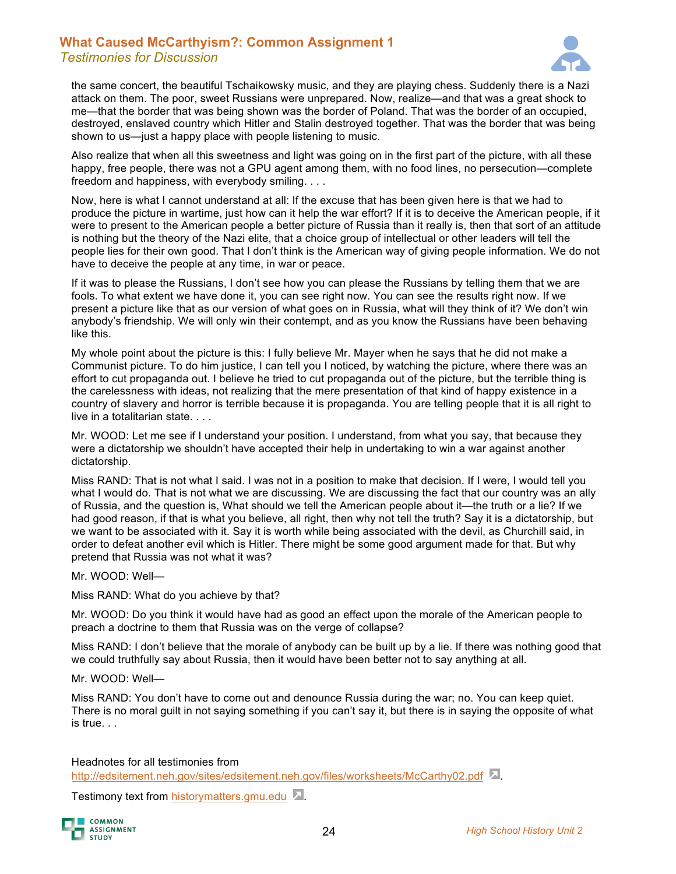

the same concert, the beautiful Tschaikowsky music, and they are playing chess. Suddenly there is a Nazi attack on them. The poor, sweet Russians were unprepared. Now, realize—and that was a great shock to me—that the border that was being shown was the border of Poland. That was the border of an occupied, destroyed, enslaved country which Hitler and Stalin destroyed together. That was the border that was being shown to us—just a happy place with people listening to music.

Also realize that when all this sweetness and light was going on in the first part of the picture, with all these happy, free people, there was not a GPU agent among them, with no food lines, no persecution—complete freedom and happiness, with everybody smiling. . . .

Now, here is what I cannot understand at all: If the excuse that has been given here is that we had to produce the picture in wartime, just how can it help the war effort? If it is to deceive the American people, if it were to present to the American people a better picture of Russia than it really is, then that sort of an attitude is nothing but the theory of the Nazi elite, that a choice group of intellectual or other leaders will tell the people lies for their own good. That I don't think is the American way of giving people information. We do not have to deceive the people at any time, in war or peace.

If it was to please the Russians, I don't see how you can please the Russians by telling them that we are fools. To what extent we have done it, you can see right now. You can see the results right now. If we present a picture like that as our version of what goes on in Russia, what will they think of it? We don't win anybody's friendship. We will only win their contempt, and as you know the Russians have been behaving like this.

My whole point about the picture is this: I fully believe Mr. Mayer when he says that he did not make a Communist picture. To do him justice, I can tell you I noticed, by watching the picture, where there was an effort to cut propaganda out. I believe he tried to cut propaganda out of the picture, but the terrible thing is the carelessness with ideas, not realizing that the mere presentation of that kind of happy existence in a country of slavery and horror is terrible because it is propaganda. You are telling people that it is all right to live in a totalitarian state. . . .

Mr. WOOD: Let me see if I understand your position. I understand, from what you say, that because they were a dictatorship we shouldn't have accepted their help in undertaking to win a war against another dictatorship.

Miss RAND: That is not what I said. I was not in a position to make that decision. If I were, I would tell you what I would do. That is not what we are discussing. We are discussing the fact that our country was an ally of Russia, and the question is, What should we tell the American people about it—the truth or a lie? If we had good reason, if that is what you believe, all right, then why not tell the truth? Say it is a dictatorship, but we want to be associated with it. Say it is worth while being associated with the devil, as Churchill said, in order to defeat another evil which is Hitler. There might be some good argument made for that. But why pretend that Russia was not what it was?

Mr. WOOD: Well—

Miss RAND: What do you achieve by that?

Mr. WOOD: Do you think it would have had as good an effect upon the morale of the American people to preach a doctrine to them that Russia was on the verge of collapse?

Miss RAND: I don't believe that the morale of anybody can be built up by a lie. If there was nothing good that we could truthfully say about Russia, then it would have been better not to say anything at all.

Mr. WOOD: Well—

Miss RAND: You don't have to come out and denounce Russia during the war; no. You can keep quiet. There is no moral guilt in not saying something if you can't say it, but there is in saying the opposite of what is true. . .

Headnotes for all testimonies from http://edsitement.neh.gov/sites/edsitement.neh.gov/files/worksheets/McCarthy02.pdf 2.

Testimony text from [historymatters.gmu.edu](http://historymatters.gmu.edu/)

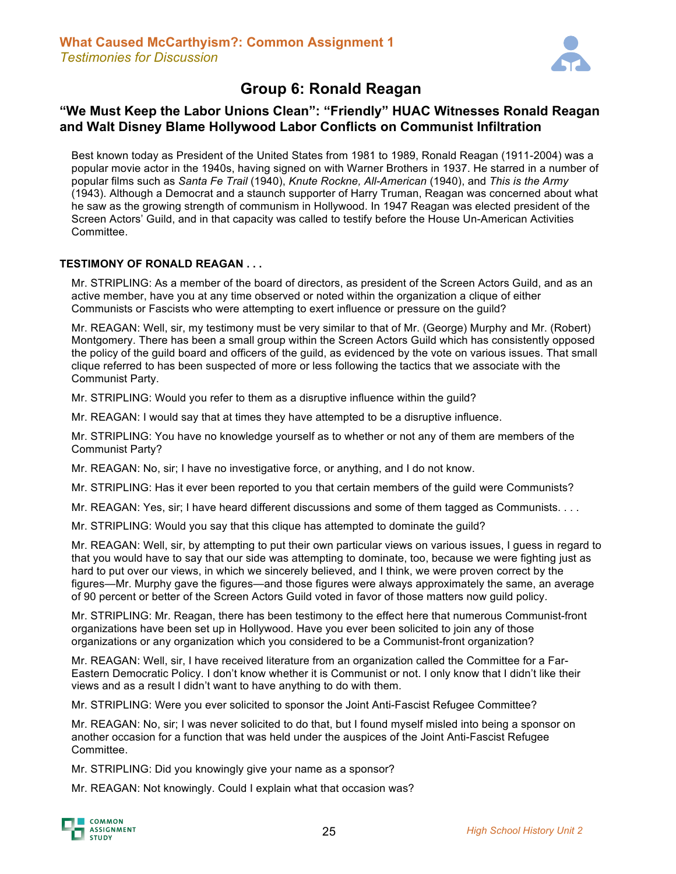

# **Group 6: Ronald Reagan**

# <span id="page-24-0"></span>**"We Must Keep the Labor Unions Clean": "Friendly" HUAC Witnesses Ronald Reagan and Walt Disney Blame Hollywood Labor Conflicts on Communist Infiltration**

Best known today as President of the United States from 1981 to 1989, Ronald Reagan (1911-2004) was a popular movie actor in the 1940s, having signed on with Warner Brothers in 1937. He starred in a number of popular films such as *Santa Fe Trail* (1940), *Knute Rockne, All-American* (1940), and *This is the Army* (1943). Although a Democrat and a staunch supporter of Harry Truman, Reagan was concerned about what he saw as the growing strength of communism in Hollywood. In 1947 Reagan was elected president of the Screen Actors' Guild, and in that capacity was called to testify before the House Un-American Activities Committee.

#### **TESTIMONY OF RONALD REAGAN . . .**

Mr. STRIPLING: As a member of the board of directors, as president of the Screen Actors Guild, and as an active member, have you at any time observed or noted within the organization a clique of either Communists or Fascists who were attempting to exert influence or pressure on the guild?

Mr. REAGAN: Well, sir, my testimony must be very similar to that of Mr. (George) Murphy and Mr. (Robert) Montgomery. There has been a small group within the Screen Actors Guild which has consistently opposed the policy of the guild board and officers of the guild, as evidenced by the vote on various issues. That small clique referred to has been suspected of more or less following the tactics that we associate with the Communist Party.

Mr. STRIPLING: Would you refer to them as a disruptive influence within the guild?

Mr. REAGAN: I would say that at times they have attempted to be a disruptive influence.

Mr. STRIPLING: You have no knowledge yourself as to whether or not any of them are members of the Communist Party?

Mr. REAGAN: No, sir; I have no investigative force, or anything, and I do not know.

Mr. STRIPLING: Has it ever been reported to you that certain members of the guild were Communists?

Mr. REAGAN: Yes, sir; I have heard different discussions and some of them tagged as Communists. . . .

Mr. STRIPLING: Would you say that this clique has attempted to dominate the guild?

Mr. REAGAN: Well, sir, by attempting to put their own particular views on various issues, I guess in regard to that you would have to say that our side was attempting to dominate, too, because we were fighting just as hard to put over our views, in which we sincerely believed, and I think, we were proven correct by the figures—Mr. Murphy gave the figures—and those figures were always approximately the same, an average of 90 percent or better of the Screen Actors Guild voted in favor of those matters now guild policy.

Mr. STRIPLING: Mr. Reagan, there has been testimony to the effect here that numerous Communist-front organizations have been set up in Hollywood. Have you ever been solicited to join any of those organizations or any organization which you considered to be a Communist-front organization?

Mr. REAGAN: Well, sir, I have received literature from an organization called the Committee for a Far-Eastern Democratic Policy. I don't know whether it is Communist or not. I only know that I didn't like their views and as a result I didn't want to have anything to do with them.

Mr. STRIPLING: Were you ever solicited to sponsor the Joint Anti-Fascist Refugee Committee?

Mr. REAGAN: No, sir; I was never solicited to do that, but I found myself misled into being a sponsor on another occasion for a function that was held under the auspices of the Joint Anti-Fascist Refugee Committee.

Mr. STRIPLING: Did you knowingly give your name as a sponsor?

Mr. REAGAN: Not knowingly. Could I explain what that occasion was?

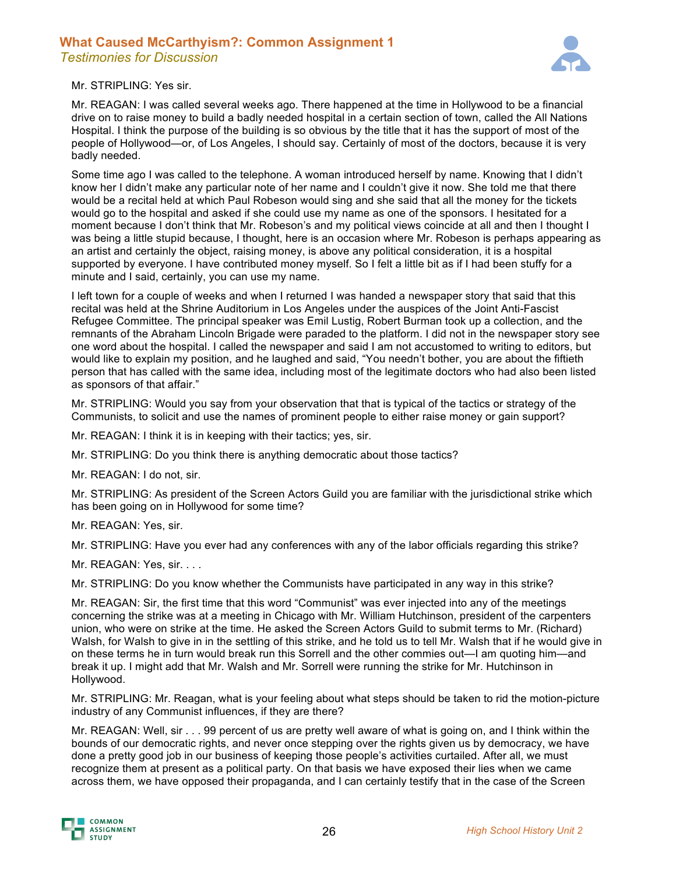

Mr. STRIPLING: Yes sir.

Mr. REAGAN: I was called several weeks ago. There happened at the time in Hollywood to be a financial drive on to raise money to build a badly needed hospital in a certain section of town, called the All Nations Hospital. I think the purpose of the building is so obvious by the title that it has the support of most of the people of Hollywood—or, of Los Angeles, I should say. Certainly of most of the doctors, because it is very badly needed.

Some time ago I was called to the telephone. A woman introduced herself by name. Knowing that I didn't know her I didn't make any particular note of her name and I couldn't give it now. She told me that there would be a recital held at which Paul Robeson would sing and she said that all the money for the tickets would go to the hospital and asked if she could use my name as one of the sponsors. I hesitated for a moment because I don't think that Mr. Robeson's and my political views coincide at all and then I thought I was being a little stupid because, I thought, here is an occasion where Mr. Robeson is perhaps appearing as an artist and certainly the object, raising money, is above any political consideration, it is a hospital supported by everyone. I have contributed money myself. So I felt a little bit as if I had been stuffy for a minute and I said, certainly, you can use my name.

I left town for a couple of weeks and when I returned I was handed a newspaper story that said that this recital was held at the Shrine Auditorium in Los Angeles under the auspices of the Joint Anti-Fascist Refugee Committee. The principal speaker was Emil Lustig, Robert Burman took up a collection, and the remnants of the Abraham Lincoln Brigade were paraded to the platform. I did not in the newspaper story see one word about the hospital. I called the newspaper and said I am not accustomed to writing to editors, but would like to explain my position, and he laughed and said, "You needn't bother, you are about the fiftieth person that has called with the same idea, including most of the legitimate doctors who had also been listed as sponsors of that affair."

Mr. STRIPLING: Would you say from your observation that that is typical of the tactics or strategy of the Communists, to solicit and use the names of prominent people to either raise money or gain support?

Mr. REAGAN: I think it is in keeping with their tactics; yes, sir.

Mr. STRIPLING: Do you think there is anything democratic about those tactics?

Mr. REAGAN: I do not, sir.

Mr. STRIPLING: As president of the Screen Actors Guild you are familiar with the jurisdictional strike which has been going on in Hollywood for some time?

Mr. REAGAN: Yes, sir.

Mr. STRIPLING: Have you ever had any conferences with any of the labor officials regarding this strike?

Mr. REAGAN: Yes, sir. . . .

Mr. STRIPLING: Do you know whether the Communists have participated in any way in this strike?

Mr. REAGAN: Sir, the first time that this word "Communist" was ever injected into any of the meetings concerning the strike was at a meeting in Chicago with Mr. William Hutchinson, president of the carpenters union, who were on strike at the time. He asked the Screen Actors Guild to submit terms to Mr. (Richard) Walsh, for Walsh to give in in the settling of this strike, and he told us to tell Mr. Walsh that if he would give in on these terms he in turn would break run this Sorrell and the other commies out—I am quoting him—and break it up. I might add that Mr. Walsh and Mr. Sorrell were running the strike for Mr. Hutchinson in Hollywood.

Mr. STRIPLING: Mr. Reagan, what is your feeling about what steps should be taken to rid the motion-picture industry of any Communist influences, if they are there?

Mr. REAGAN: Well, sir . . . 99 percent of us are pretty well aware of what is going on, and I think within the bounds of our democratic rights, and never once stepping over the rights given us by democracy, we have done a pretty good job in our business of keeping those people's activities curtailed. After all, we must recognize them at present as a political party. On that basis we have exposed their lies when we came across them, we have opposed their propaganda, and I can certainly testify that in the case of the Screen

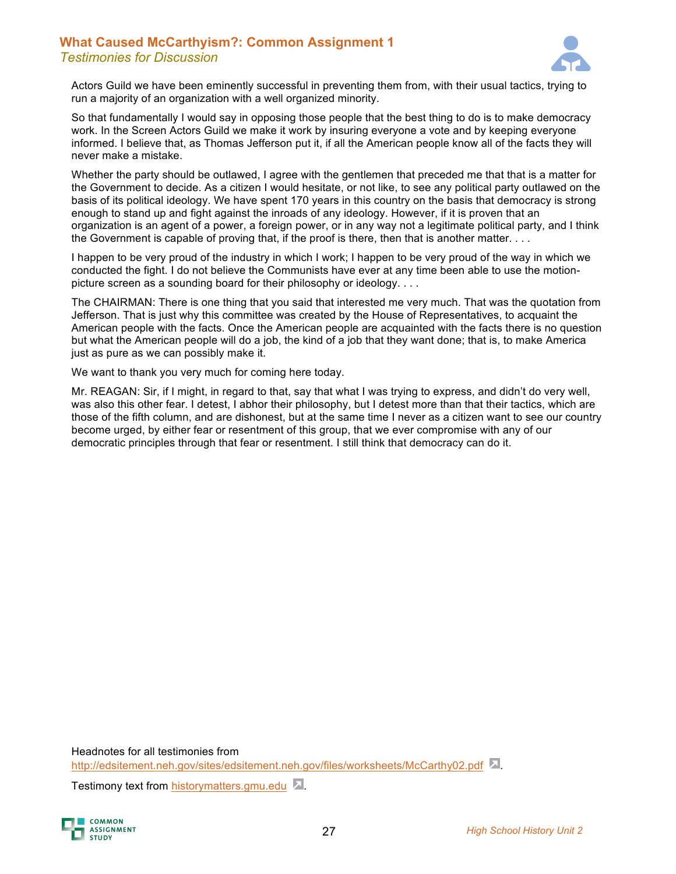

Actors Guild we have been eminently successful in preventing them from, with their usual tactics, trying to run a majority of an organization with a well organized minority.

So that fundamentally I would say in opposing those people that the best thing to do is to make democracy work. In the Screen Actors Guild we make it work by insuring everyone a vote and by keeping everyone informed. I believe that, as Thomas Jefferson put it, if all the American people know all of the facts they will never make a mistake.

Whether the party should be outlawed, I agree with the gentlemen that preceded me that that is a matter for the Government to decide. As a citizen I would hesitate, or not like, to see any political party outlawed on the basis of its political ideology. We have spent 170 years in this country on the basis that democracy is strong enough to stand up and fight against the inroads of any ideology. However, if it is proven that an organization is an agent of a power, a foreign power, or in any way not a legitimate political party, and I think the Government is capable of proving that, if the proof is there, then that is another matter. . . .

I happen to be very proud of the industry in which I work; I happen to be very proud of the way in which we conducted the fight. I do not believe the Communists have ever at any time been able to use the motionpicture screen as a sounding board for their philosophy or ideology. . . .

The CHAIRMAN: There is one thing that you said that interested me very much. That was the quotation from Jefferson. That is just why this committee was created by the House of Representatives, to acquaint the American people with the facts. Once the American people are acquainted with the facts there is no question but what the American people will do a job, the kind of a job that they want done; that is, to make America just as pure as we can possibly make it.

We want to thank you very much for coming here today.

Mr. REAGAN: Sir, if I might, in regard to that, say that what I was trying to express, and didn't do very well, was also this other fear. I detest, I abhor their philosophy, but I detest more than that their tactics, which are those of the fifth column, and are dishonest, but at the same time I never as a citizen want to see our country become urged, by either fear or resentment of this group, that we ever compromise with any of our democratic principles through that fear or resentment. I still think that democracy can do it.

Headnotes for all testimonies from http://edsitement.neh.gov/sites/edsitement.neh.gov/files/worksheets/McCarthy02.pdf

Testimony text from [historymatters.gmu.edu](http://historymatters.gmu.edu/)  $\Box$ 

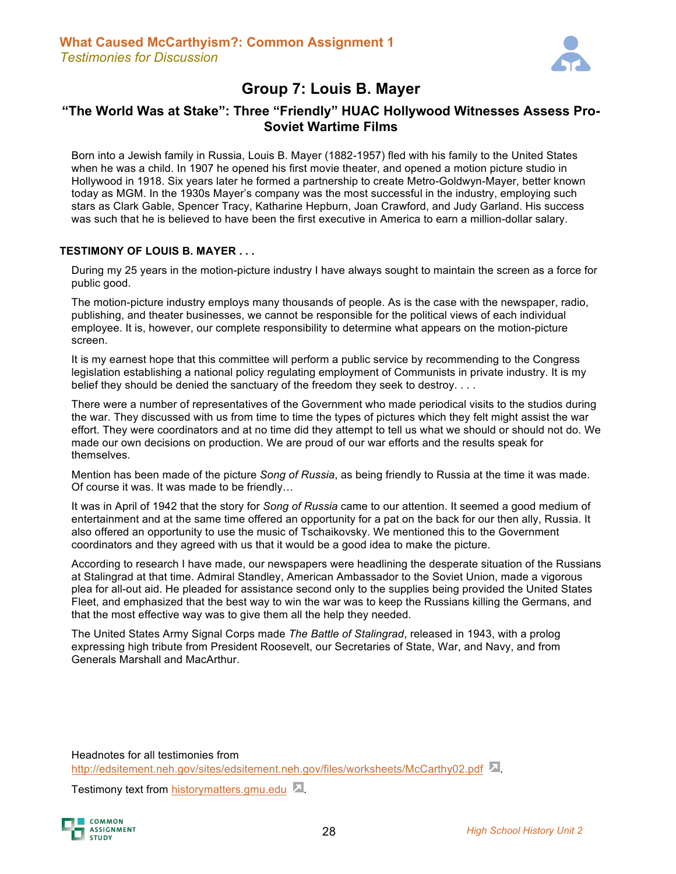

# **Group 7: Louis B. Mayer**

## <span id="page-27-0"></span>**"The World Was at Stake": Three "Friendly" HUAC Hollywood Witnesses Assess Pro-Soviet Wartime Films**

Born into a Jewish family in Russia, Louis B. Mayer (1882-1957) fled with his family to the United States when he was a child. In 1907 he opened his first movie theater, and opened a motion picture studio in Hollywood in 1918. Six years later he formed a partnership to create Metro-Goldwyn-Mayer, better known today as MGM. In the 1930s Mayer's company was the most successful in the industry, employing such stars as Clark Gable, Spencer Tracy, Katharine Hepburn, Joan Crawford, and Judy Garland. His success was such that he is believed to have been the first executive in America to earn a million-dollar salary.

#### **TESTIMONY OF LOUIS B. MAYER . . .**

During my 25 years in the motion-picture industry I have always sought to maintain the screen as a force for public good.

The motion-picture industry employs many thousands of people. As is the case with the newspaper, radio, publishing, and theater businesses, we cannot be responsible for the political views of each individual employee. It is, however, our complete responsibility to determine what appears on the motion-picture screen.

It is my earnest hope that this committee will perform a public service by recommending to the Congress legislation establishing a national policy regulating employment of Communists in private industry. It is my belief they should be denied the sanctuary of the freedom they seek to destroy....

There were a number of representatives of the Government who made periodical visits to the studios during the war. They discussed with us from time to time the types of pictures which they felt might assist the war effort. They were coordinators and at no time did they attempt to tell us what we should or should not do. We made our own decisions on production. We are proud of our war efforts and the results speak for themselves.

Mention has been made of the picture *Song of Russia*, as being friendly to Russia at the time it was made. Of course it was. It was made to be friendly…

It was in April of 1942 that the story for *Song of Russia* came to our attention. It seemed a good medium of entertainment and at the same time offered an opportunity for a pat on the back for our then ally, Russia. It also offered an opportunity to use the music of Tschaikovsky. We mentioned this to the Government coordinators and they agreed with us that it would be a good idea to make the picture.

According to research I have made, our newspapers were headlining the desperate situation of the Russians at Stalingrad at that time. Admiral Standley, American Ambassador to the Soviet Union, made a vigorous plea for all-out aid. He pleaded for assistance second only to the supplies being provided the United States Fleet, and emphasized that the best way to win the war was to keep the Russians killing the Germans, and that the most effective way was to give them all the help they needed.

The United States Army Signal Corps made *The Battle of Stalingrad*, released in 1943, with a prolog expressing high tribute from President Roosevelt, our Secretaries of State, War, and Navy, and from Generals Marshall and MacArthur.

Headnotes for all testimonies from http://edsitement.neh.gov/sites/edsitement.neh.gov/files/worksheets/McCarthy02.pdf 2.

Testimony text from [historymatters.gmu.edu](http://historymatters.gmu.edu/) 2.